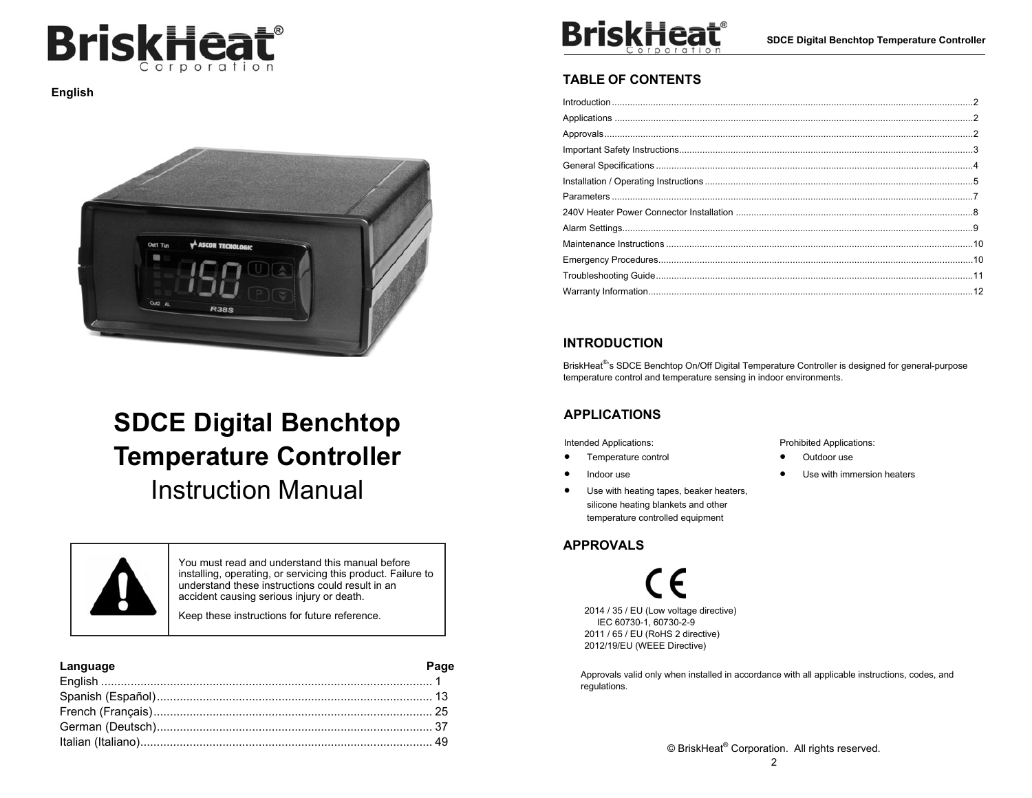

**English** 



# **SDCE Digital Benchtop Temperature Controller**

Instruction Manual



You must read and understand this manual before installing, operating, or servicing this product. Failure to understand these instructions could result in an accident causing serious injury or death.

Keep these instructions for future reference.

### **Language Page** English ..................................................................................................... 1 Spanish (Español) .................................................................................... 13 French (Français) ..................................................................................... 25 German (Deutsch) .................................................................................... 37 Italian (Italiano) ......................................................................................... 49



## **TABLE OF CONTENTS**

| Introduction 2 |  |
|----------------|--|
|                |  |
|                |  |
|                |  |
|                |  |
|                |  |
|                |  |
|                |  |
|                |  |
|                |  |
|                |  |
|                |  |
|                |  |

## **INTRODUCTION**

BriskHeat<sup>®</sup>'s SDCE Benchtop On/Off Digital Temperature Controller is designed for general-purpose temperature control and temperature sensing in indoor environments.

## **APPLICATIONS**

Intended Applications:

- $\bullet$ Temperature control
- $\bullet$ Indoor use
- $\bullet$  Use with heating tapes, beaker heaters, silicone heating blankets and other temperature controlled equipment

## **APPROVALS**

2014 / 35 / EU (Low voltage directive) IEC 60730-1, 60730-2-9 2011 / 65 / EU (RoHS 2 directive) 2012/19/EU (WEEE Directive)

Approvals valid only when installed in accordance with all applicable instructions, codes, and regulations.

Prohibited Applications:

- $\bullet$ Outdoor use
- $\bullet$ Use with immersion heaters

© BriskHeat® Corporation. All rights reserved.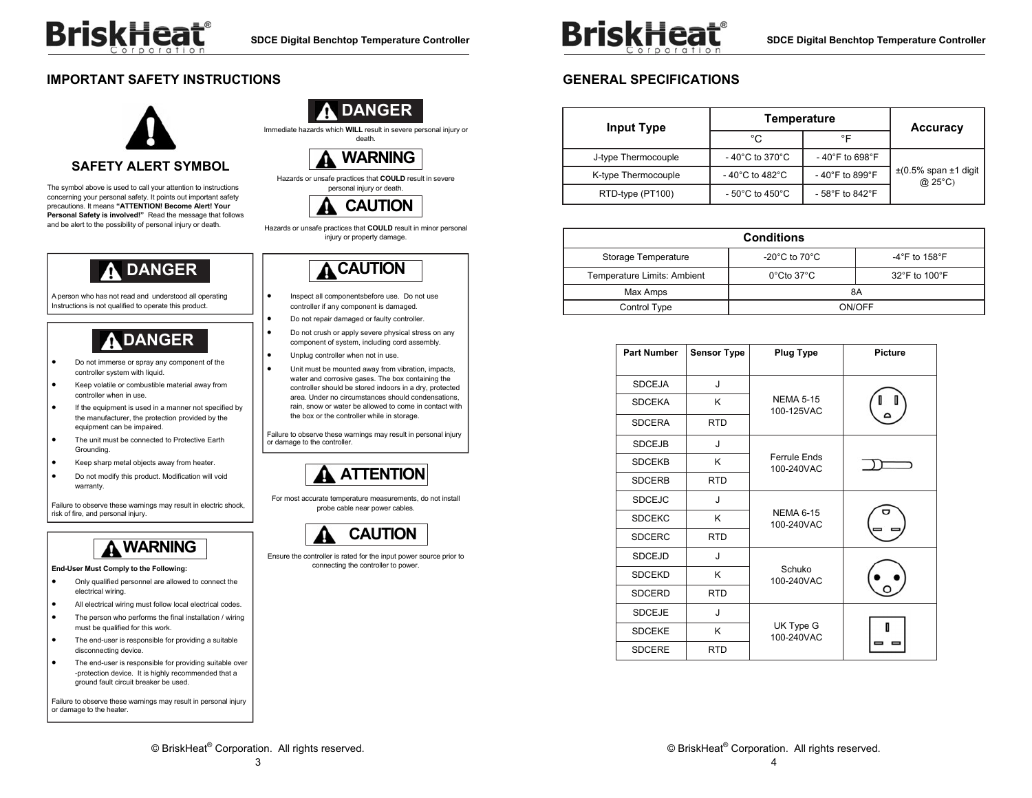## **IMPORTANT SAFETY INSTRUCTIONS**



The symbol above is used to call your attention to instructions concerning your personal safety. It points out important safety precautions. It means **"ATTENTION! Become Alert! Your Personal Safety is involved!"** Read the message that follows and be alert to the possibility of personal injury or death.

# **DANGER**

A person who has not read and understood all operating Instructions is not qualified to operate this product.

# **DANGER**

- . Do not immerse or spray any component of the controller system with liquid.
- $\bullet$  Keep volatile or combustible material away from controller when in use.
- $\bullet$ If the equipment is used in a manner not specified by the manufacturer, the protection provided by the equipment can be impaired.
- $\bullet$  The unit must be connected to Protective Earth Grounding.
- $\bullet$ Keep sharp metal objects away from heater.
- $\bullet$  Do not modify this product. Modification will void warranty

Failure to observe these warnings may result in electric shock, risk of fire, and personal injury.



#### **End-User Must Comply to the Following:**

- $\bullet$  Only qualified personnel are allowed to connect the electrical wiring.
- $\bullet$ All electrical wiring must follow local electrical codes.
- . The person who performs the final installation / wiring must be qualified for this work.
- $\bullet$  The end-user is responsible for providing a suitable disconnecting device.
- $\bullet$  The end-user is responsible for providing suitable over -protection device. It is highly recommended that a ground fault circuit breaker be used.

Failure to observe these warnings may result in personal injury or damage to the heater.



Immediate hazards which **WILL** result in severe personal injury or death.



#### Hazards or unsafe practices that **COULD** result in severe personal injury or death.



Hazards or unsafe practices that **COULD** result in minor personal injury or property damage.



- Inspect all componentsbefore use. Do not use controller if any component is damaged.
- Do not repair damaged or faulty controller.
- . Do not crush or apply severe physical stress on any component of system, including cord assembly.
- Unplug controller when not in use.

.

.

 $\blacksquare$ 

.

 Unit must be mounted away from vibration, impacts, water and corrosive gases. The box containing the controller should be stored indoors in a dry, protected area. Under no circumstances should condensations, rain, snow or water be allowed to come in contact with the box or the controller while in storage.

Failure to observe these warnings may result in personal injury or damage to the controller.

# **ATTENTION**

For most accurate temperature measurements, do not install probe cable near power cables.



Ensure the controller is rated for the input power source prior to connecting the controller to power.



**SDCE Digital Benchtop Temperature Controller** 

## **GENERAL SPECIFICATIONS**

| <b>Input Type</b>   | Temperature                           |                                     | <b>Accuracy</b>                                  |
|---------------------|---------------------------------------|-------------------------------------|--------------------------------------------------|
|                     | °C                                    | °F                                  |                                                  |
| J-type Thermocouple | - 40 $^{\circ}$ C to 370 $^{\circ}$ C | $-40^{\circ}$ F to 698 $^{\circ}$ F |                                                  |
| K-type Thermocouple | - 40 $^{\circ}$ C to 482 $^{\circ}$ C | -40°F to 899°F                      | $\pm$ (0.5% span $\pm$ 1 digit<br>$\omega$ 25°C) |
| RTD-type (PT100)    | $-50^{\circ}$ C to 450 $^{\circ}$ C   | - 58°F to 842°F                     |                                                  |

|                             | <b>Conditions</b>                   |               |  |
|-----------------------------|-------------------------------------|---------------|--|
| Storage Temperature         | -20 $^{\circ}$ C to 70 $^{\circ}$ C | -4°F to 158°F |  |
| Temperature Limits: Ambient | $0^{\circ}$ Cto 37 $^{\circ}$ C     | 32°F to 100°F |  |
| Max Amps                    | 8A                                  |               |  |
| Control Type                | ON/OFF                              |               |  |

| <b>Part Number</b> | <b>Sensor Type</b> | <b>Plug Type</b>                  | <b>Picture</b> |
|--------------------|--------------------|-----------------------------------|----------------|
| <b>SDCEJA</b>      | J                  |                                   |                |
| <b>SDCEKA</b>      | K                  | <b>NEMA 5-15</b><br>100-125VAC    |                |
| <b>SDCERA</b>      | <b>RTD</b>         |                                   |                |
| <b>SDCEJB</b>      | J                  |                                   |                |
| <b>SDCEKB</b>      | K                  | <b>Ferrule Ends</b><br>100-240VAC |                |
| <b>SDCERB</b>      | <b>RTD</b>         |                                   |                |
| <b>SDCEJC</b>      | J                  |                                   |                |
| <b>SDCEKC</b>      | K                  | <b>NEMA 6-15</b><br>100-240VAC    |                |
| <b>SDCERC</b>      | <b>RTD</b>         |                                   |                |
| <b>SDCEJD</b>      | J                  |                                   |                |
| <b>SDCEKD</b>      | K                  | Schuko<br>100-240VAC              |                |
| <b>SDCERD</b>      | <b>RTD</b>         |                                   |                |
| <b>SDCEJE</b>      | J                  |                                   |                |
| <b>SDCEKE</b>      | K                  | UK Type G<br>100-240VAC           |                |
| <b>SDCERE</b>      | <b>RTD</b>         |                                   |                |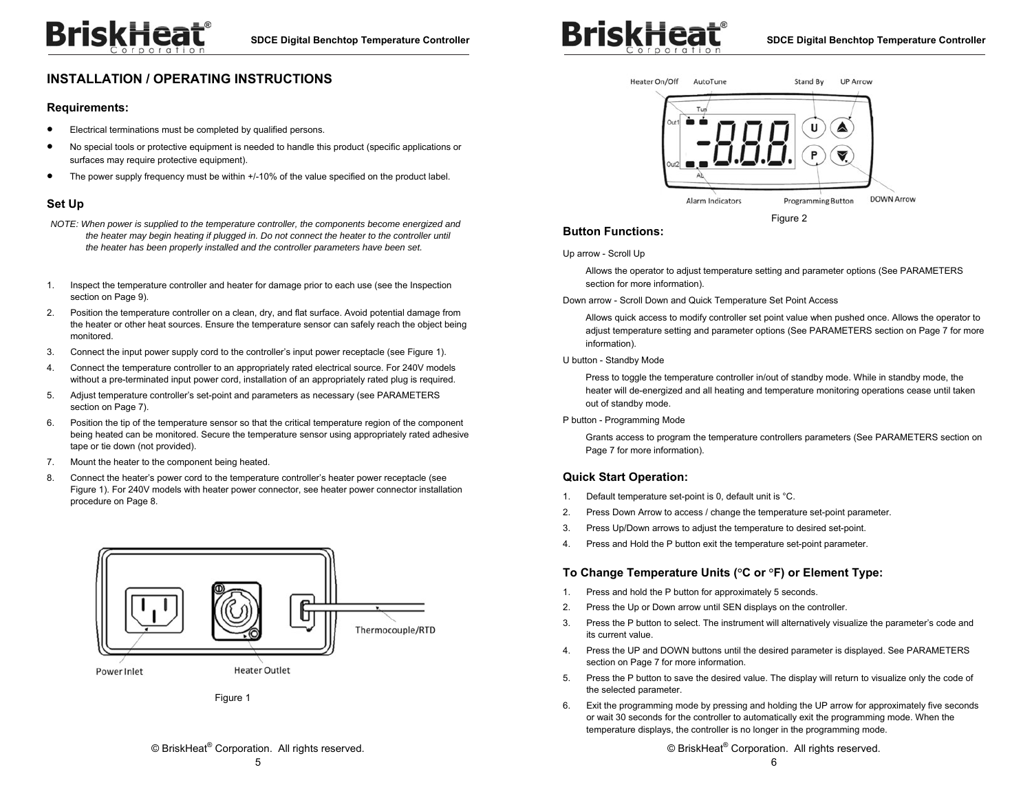# **BriskHeat**

## **INSTALLATION / OPERATING INSTRUCTIONS**

#### **Requirements:**

- . Electrical terminations must be completed by qualified persons.
- $\bullet$  No special tools or protective equipment is needed to handle this product (specific applications or surfaces may require protective equipment).
- $\bullet$ The power supply frequency must be within +/-10% of the value specified on the product label.

#### **Set Up**

- *NOTE: When power is supplied to the temperature controller, the components become energized and*  the heater may begin heating if plugged in. Do not connect the heater to the controller until *the heater has been properly installed and the controller parameters have been set.*
- 1. Inspect the temperature controller and heater for damage prior to each use (see the Inspection section on Page 9).
- 2. Position the temperature controller on a clean, dry, and flat surface. Avoid potential damage from the heater or other heat sources. Ensure the temperature sensor can safely reach the object being monitored.
- 3. Connect the input power supply cord to the controller's input power receptacle (see Figure 1).
- 4. Connect the temperature controller to an appropriately rated electrical source. For 240V models without a pre-terminated input power cord, installation of an appropriately rated plug is required.
- 5. Adjust temperature controller's set-point and parameters as necessary (see PARAMETERS section on Page 7).
- 6. Position the tip of the temperature sensor so that the critical temperature region of the component being heated can be monitored. Secure the temperature sensor using appropriately rated adhesive tape or tie down (not provided).
- 7. Mount the heater to the component being heated.
- 8. Connect the heater's power cord to the temperature controller's heater power receptacle (see Figure 1). For 240V models with heater power connector, see heater power connector installation procedure on Page 8.



Figure 1

© BriskHeat® Corporation. All rights reserved.



## **Button Functions:**

Up arrow - Scroll Up

Allows the operator to adjust temperature setting and parameter options (See PARAMETERS section for more information).

Down arrow - Scroll Down and Quick Temperature Set Point Access

Allows quick access to modify controller set point value when pushed once. Allows the operator to adjust temperature setting and parameter options (See PARAMETERS section on Page 7 for more information).

U button - Standby Mode

Press to toggle the temperature controller in/out of standby mode. While in standby mode, the heater will de-energized and all heating and temperature monitoring operations cease until taken out of standby mode.

P button - Programming Mode

Grants access to program the temperature controllers parameters (See PARAMETERS section on Page 7 for more information).

#### **Quick Start Operation:**

- 1. Default temperature set-point is 0, default unit is °C.
- 2. Press Down Arrow to access / change the temperature set-point parameter.
- 3. Press Up/Down arrows to adjust the temperature to desired set-point.
- 4. Press and Hold the P button exit the temperature set-point parameter.

#### **To Change Temperature Units (°C or °F) or Element Type:**

- 1. Press and hold the P button for approximately 5 seconds.
- 2. Press the Up or Down arrow until SEN displays on the controller.
- 3. Press the P button to select. The instrument will alternatively visualize the parameter's code and its current value.
- 4. Press the UP and DOWN buttons until the desired parameter is displayed. See PARAMETERS section on Page 7 for more information.
- 5. Press the P button to save the desired value. The display will return to visualize only the code of the selected parameter.
- 6. Exit the programming mode by pressing and holding the UP arrow for approximately five seconds or wait 30 seconds for the controller to automatically exit the programming mode. When the temperature displays, the controller is no longer in the programming mode.

© BriskHeat® Corporation. All rights reserved.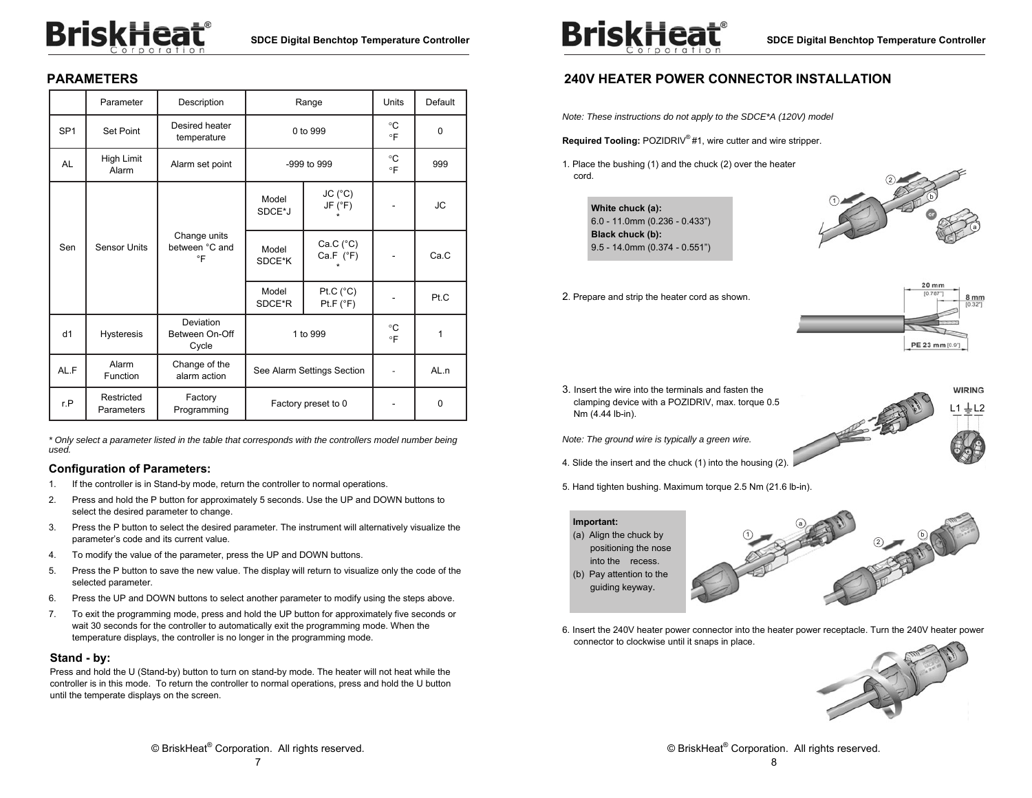# **BriskHeat**®

## **PARAMETERS**

|                 | Parameter                | Description                          | Range                      |                                       | Units           | Default  |
|-----------------|--------------------------|--------------------------------------|----------------------------|---------------------------------------|-----------------|----------|
| SP <sub>1</sub> | Set Point                | Desired heater<br>temperature        |                            | 0 to 999                              |                 | $\Omega$ |
| <b>AL</b>       | High Limit<br>Alarm      | Alarm set point                      |                            | $-999$ to $999$                       |                 | 999      |
| Sen             | <b>Sensor Units</b>      |                                      | Model<br>SDCE*J            | $JC(^{\circ}C)$<br>JF (°F)<br>$\star$ |                 | JC.      |
|                 |                          | Change units<br>between °C and<br>°F | Model<br>SDCE*K            | Ca.C (°C)<br>Ca.F $(^{\circ}F)$       |                 | Ca.C     |
|                 |                          |                                      | Model<br>SDCE*R            | Pt.C $(^{\circ}C)$<br>Pt.F (°F)       |                 | Pt.C     |
| d1              | <b>Hysteresis</b>        | Deviation<br>Between On-Off<br>Cycle | 1 to 999                   |                                       | °C<br>$\circ$ F | 1        |
| AL.F            | Alarm<br>Function        | Change of the<br>alarm action        | See Alarm Settings Section |                                       |                 | AL.n     |
| r.P             | Restricted<br>Parameters | Factory<br>Programming               | Factory preset to 0        |                                       |                 | $\Omega$ |

*\* Only select a parameter listed in the table that corresponds with the controllers model number being used.* 

#### **Configuration of Parameters:**

- 1. If the controller is in Stand-by mode, return the controller to normal operations.
- 2. Press and hold the P button for approximately 5 seconds. Use the UP and DOWN buttons to select the desired parameter to change.
- 3. Press the P button to select the desired parameter. The instrument will alternatively visualize the parameter's code and its current value.
- 4. To modify the value of the parameter, press the UP and DOWN buttons.
- 5. Press the P button to save the new value. The display will return to visualize only the code of the selected parameter.
- 6. Press the UP and DOWN buttons to select another parameter to modify using the steps above.
- 7. To exit the programming mode, press and hold the UP button for approximately five seconds or wait 30 seconds for the controller to automatically exit the programming mode. When the temperature displays, the controller is no longer in the programming mode.

#### **Stand - by:**

Press and hold the U (Stand-by) button to turn on stand-by mode. The heater will not heat while the controller is in this mode. To return the controller to normal operations, press and hold the U button until the temperate displays on the screen.



## **240V HEATER POWER CONNECTOR INSTALLATION**

*Note: These instructions do not apply to the SDCE\*A (120V) model* 

**Required Tooling:** POZIDRIV® #1, wire cutter and wire stripper.

1. Place the bushing (1) and the chuck (2) over the heater cord.

> **White chuck (a):**  6.0 - 11.0mm (0.236 - 0.433") **Black chuck (b):**  9.5 - 14.0mm (0.374 - 0.551")



#### 2. Prepare and strip the heater cord as shown.



 $L1 \stackrel{\perp}{=} L2$ 

**WIRING** 

3. Insert the wire into the terminals and fasten the clamping device with a POZIDRIV, max. torque 0.5 Nm (4.44 lb-in).

*Note: The ground wire is typically a green wire.*

- 4. Slide the insert and the chuck (1) into the housing (2).
- 5. Hand tighten bushing. Maximum torque 2.5 Nm (21.6 lb-in).



6. Insert the 240V heater power connector into the heater power receptacle. Turn the 240V heater power connector to clockwise until it snaps in place.



7

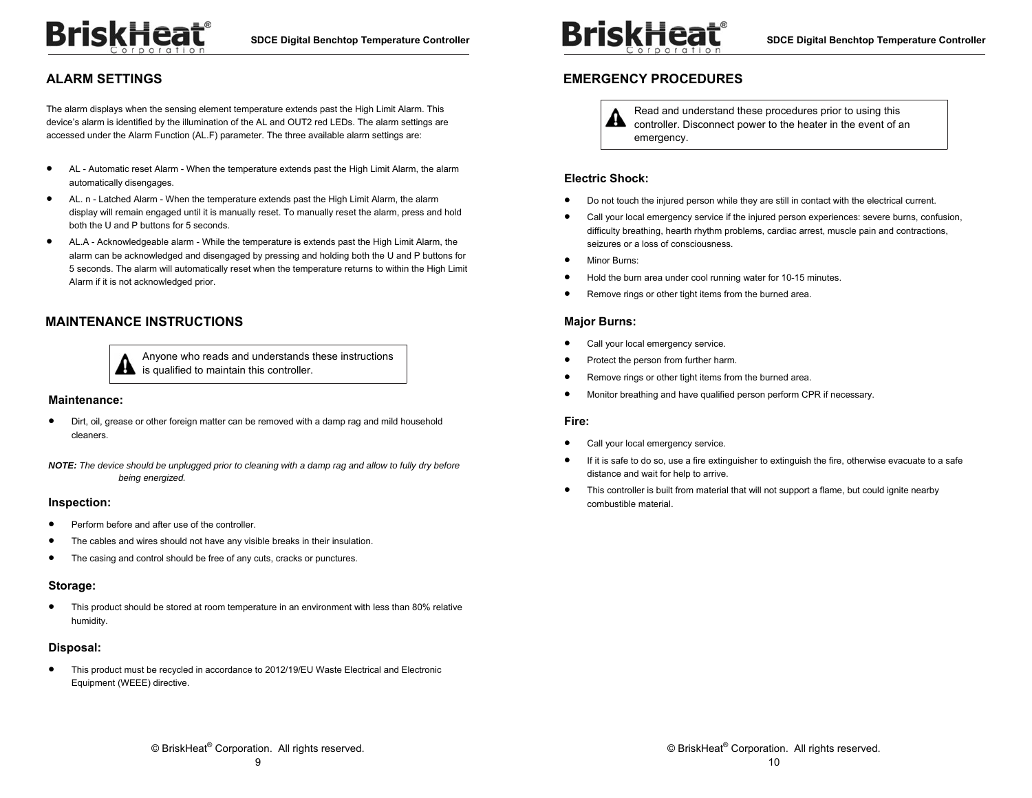## **ALARM SETTINGS**

The alarm displays when the sensing element temperature extends past the High Limit Alarm. This device's alarm is identified by the illumination of the AL and OUT2 red LEDs. The alarm settings are accessed under the Alarm Function (AL.F) parameter. The three available alarm settings are:

- $\bullet$  AL - Automatic reset Alarm - When the temperature extends past the High Limit Alarm, the alarm automatically disengages.
- $\bullet$  AL. n - Latched Alarm - When the temperature extends past the High Limit Alarm, the alarm display will remain engaged until it is manually reset. To manually reset the alarm, press and hold both the U and P buttons for 5 seconds.
- $\bullet$  AL.A - Acknowledgeable alarm - While the temperature is extends past the High Limit Alarm, the alarm can be acknowledged and disengaged by pressing and holding both the U and P buttons for 5 seconds. The alarm will automatically reset when the temperature returns to within the High Limit Alarm if it is not acknowledged prior.

## **MAINTENANCE INSTRUCTIONS**



Anyone who reads and understands these instructions is qualified to maintain this controller.

#### **Maintenance:**

 $\bullet$  Dirt, oil, grease or other foreign matter can be removed with a damp rag and mild household cleaners.

*NOTE: The device should be unplugged prior to cleaning with a damp rag and allow to fully dry before being energized.* 

#### **Inspection:**

- $\bullet$ Perform before and after use of the controller.
- $\bullet$ The cables and wires should not have any visible breaks in their insulation.
- $\bullet$ The casing and control should be free of any cuts, cracks or punctures.

#### **Storage:**

 $\bullet$  This product should be stored at room temperature in an environment with less than 80% relative humidity.

#### **Disposal:**

 $\bullet$ This product must be recycled in accordance to 2012/19/EU Waste Electrical and Electronic Equipment (WEEE) directive.



### **EMERGENCY PROCEDURES**

Read and understand these procedures prior to using this A controller. Disconnect power to the heater in the event of an emergency.

#### **Electric Shock:**

- ٠ Do not touch the injured person while they are still in contact with the electrical current.
- $\bullet$  Call your local emergency service if the injured person experiences: severe burns, confusion, difficulty breathing, hearth rhythm problems, cardiac arrest, muscle pain and contractions, seizures or a loss of consciousness.
- $\bullet$ Minor Burns:
- $\bullet$ Hold the burn area under cool running water for 10-15 minutes.
- $\bullet$ Remove rings or other tight items from the burned area.

#### **Major Burns:**

- $\bullet$ Call your local emergency service.
- $\bullet$ Protect the person from further harm.
- $\bullet$ Remove rings or other tight items from the burned area.
- $\bullet$ Monitor breathing and have qualified person perform CPR if necessary.

#### **Fire:**

- $\bullet$ Call your local emergency service.
- $\bullet$  If it is safe to do so, use a fire extinguisher to extinguish the fire, otherwise evacuate to a safe distance and wait for help to arrive.
- $\bullet$  This controller is built from material that will not support a flame, but could ignite nearby combustible material.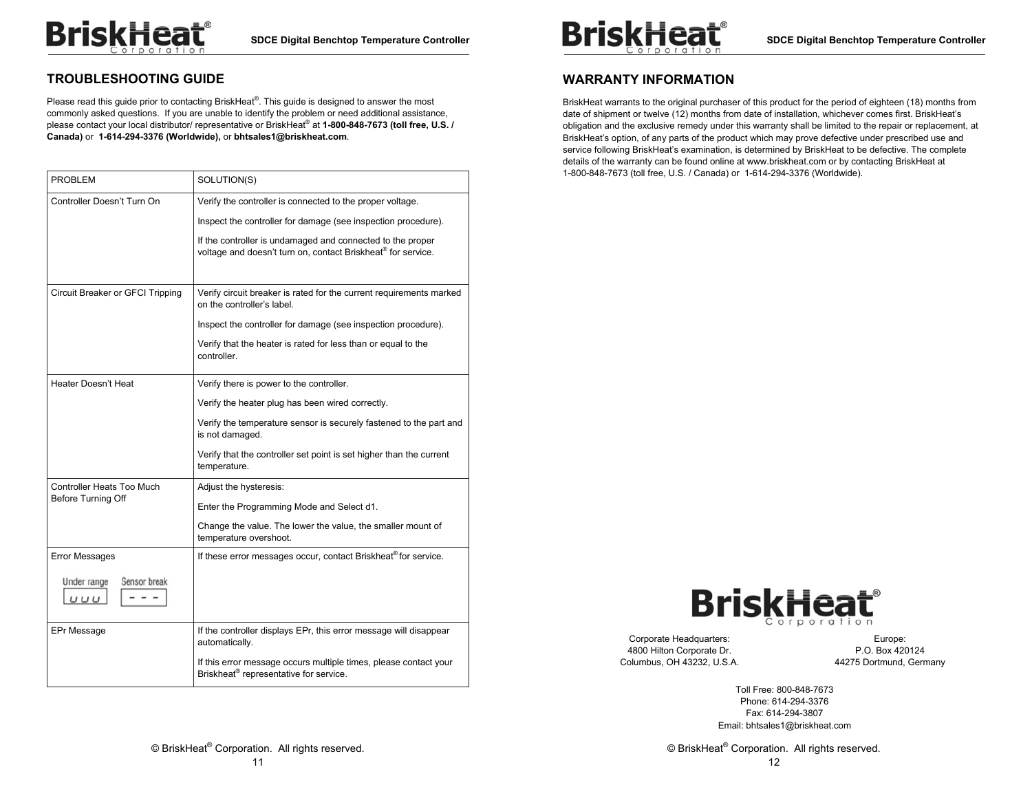## **TROUBLESHOOTING GUIDE**

Please read this quide prior to contacting BriskHeat<sup>®</sup>. This quide is designed to answer the most commonly asked questions. If you are unable to identify the problem or need additional assistance, please contact your local distributor/ representative or BriskHeat® at **1-800-848-7673 (toll free, U.S. / Canada)** or **1-614-294-3376 (Worldwide),** or **bhtsales1@briskheat.com**.

| <b>PROBLEM</b>                     | SOLUTION(S)                                                                                                                |
|------------------------------------|----------------------------------------------------------------------------------------------------------------------------|
| Controller Doesn't Turn On         | Verify the controller is connected to the proper voltage.                                                                  |
|                                    | Inspect the controller for damage (see inspection procedure).                                                              |
|                                    | If the controller is undamaged and connected to the proper<br>voltage and doesn't turn on, contact Briskheat® for service. |
|                                    |                                                                                                                            |
| Circuit Breaker or GFCI Tripping   | Verify circuit breaker is rated for the current requirements marked<br>on the controller's label.                          |
|                                    | Inspect the controller for damage (see inspection procedure).                                                              |
|                                    | Verify that the heater is rated for less than or equal to the<br>controller.                                               |
| Heater Doesn't Heat                | Verify there is power to the controller.                                                                                   |
|                                    | Verify the heater plug has been wired correctly.                                                                           |
|                                    | Verify the temperature sensor is securely fastened to the part and<br>is not damaged.                                      |
|                                    | Verify that the controller set point is set higher than the current<br>temperature.                                        |
| Controller Heats Too Much          | Adjust the hysteresis:                                                                                                     |
| Before Turning Off                 | Enter the Programming Mode and Select d1.                                                                                  |
|                                    | Change the value. The lower the value, the smaller mount of<br>temperature overshoot.                                      |
| <b>Error Messages</b>              | If these error messages occur, contact Briskheat® for service.                                                             |
| Sensor break<br>Under range<br>UUU |                                                                                                                            |
| EPr Message                        | If the controller displays EPr, this error message will disappear<br>automatically.                                        |
|                                    | If this error message occurs multiple times, please contact your<br>Briskheat <sup>®</sup> representative for service.     |



## **WARRANTY INFORMATION**

BriskHeat warrants to the original purchaser of this product for the period of eighteen (18) months from date of shipment or twelve (12) months from date of installation, whichever comes first. BriskHeat's obligation and the exclusive remedy under this warranty shall be limited to the repair or replacement, at BriskHeat's option, of any parts of the product which may prove defective under prescribed use and service following BriskHeat's examination, is determined by BriskHeat to be defective. The complete details of the warranty can be found online at www.briskheat.com or by contacting BriskHeat at 1-800-848-7673 (toll free, U.S. / Canada) or 1-614-294-3376 (Worldwide).



Corporate Headquarters: 4800 Hilton Corporate Dr. Columbus, OH 43232, U.S.A.

Europe: P.O. Box 420124 44275 Dortmund, Germany

Toll Free: 800-848-7673 Phone: 614-294-3376 Fax: 614-294-3807 Email: bhtsales1@briskheat.com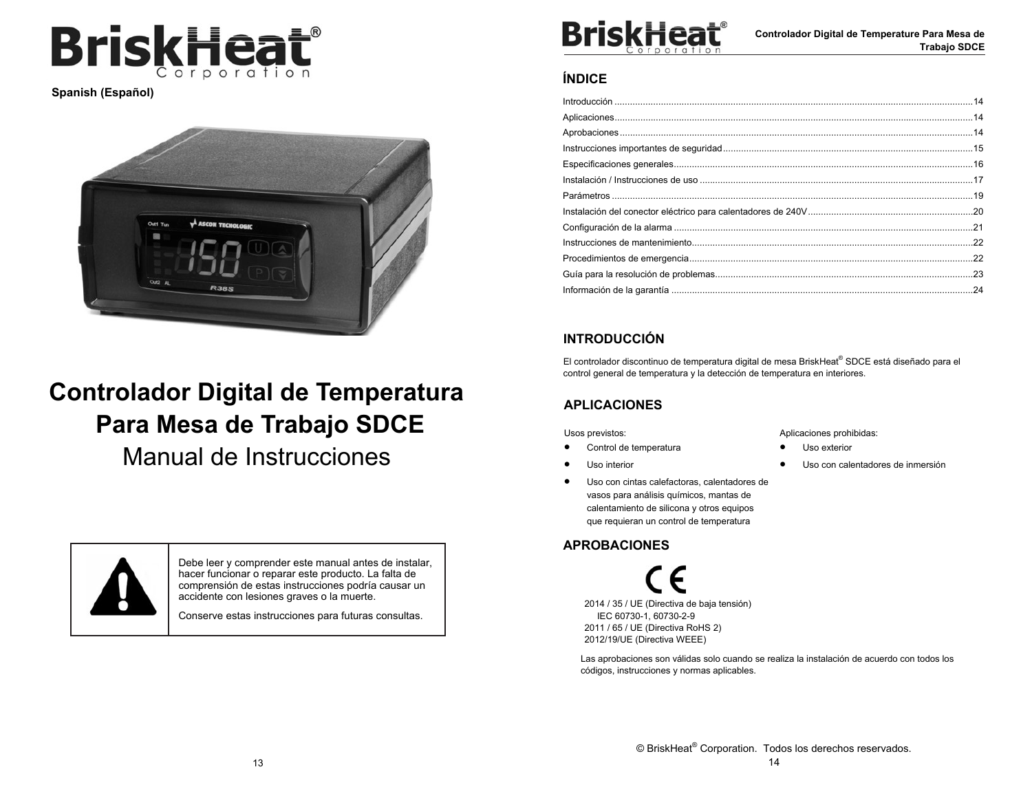

**Spanish (Español)** 



# **Controlador Digital de Temperatura Para Mesa de Trabajo SDCE**

Manual de Instrucciones



Debe leer y comprender este manual antes de instalar, hacer funcionar o reparar este producto. La falta de comprensión de estas instrucciones podría causar un accidente con lesiones graves o la muerte.

Conserve estas instrucciones para futuras consultas.



**Controlador Digital de Temperature Para Mesa de Trabajo SDCE** 

## **ÍNDICE**

## **INTRODUCCIÓN**

El controlador discontinuo de temperatura digital de mesa BriskHeat® SDCE está diseñado para el control general de temperatura y la detección de temperatura en interiores.

## **APLICACIONES**

Usos previstos:

- $\bullet$ Control de temperatura
- $\bullet$ Uso interior
- $\bullet$  Uso con cintas calefactoras, calentadores de vasos para análisis químicos, mantas de calentamiento de silicona y otros equipos que requieran un control de temperatura

## **APROBACIONES**

2014 / 35 / UE (Directiva de baja tensión) IEC 60730-1, 60730-2-9 2011 / 65 / UE (Directiva RoHS 2) 2012/19/UE (Directiva WEEE)

Las aprobaciones son válidas solo cuando se realiza la instalación de acuerdo con todos los códigos, instrucciones y normas aplicables.

Aplicaciones prohibidas:

- $\bullet$ Uso exterior
- $\bullet$ Uso con calentadores de inmersión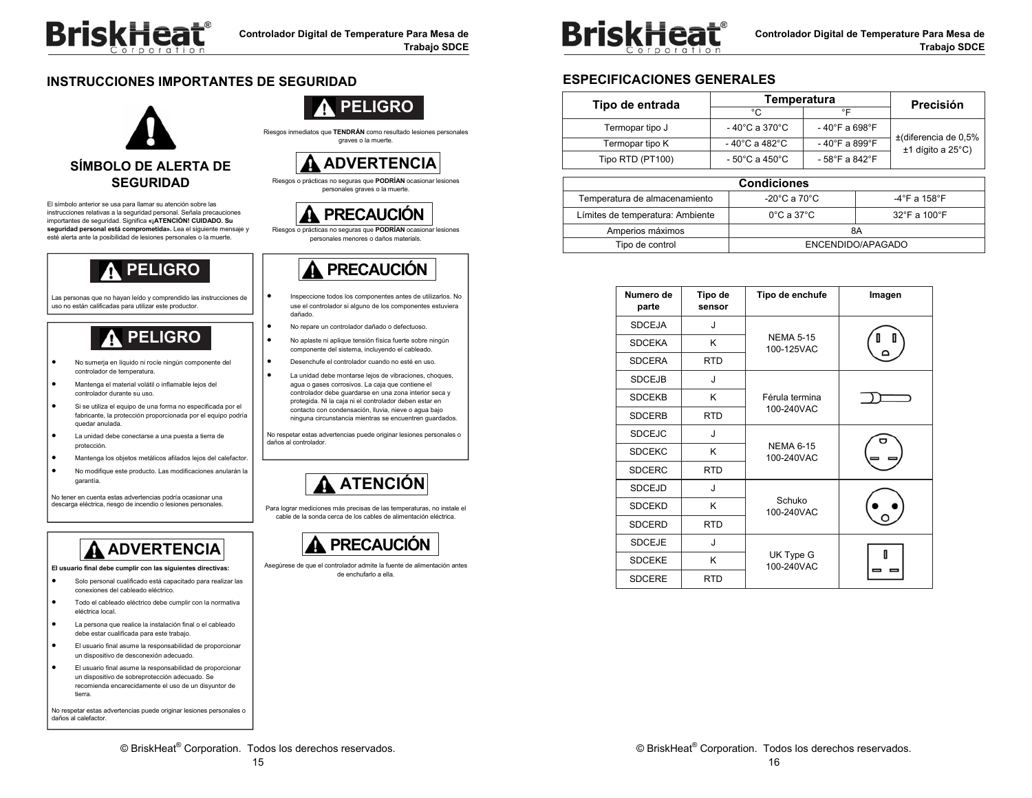

## **INSTRUCCIONES IMPORTANTES DE SEGURIDAD**



El símbolo anterior se usa para llamar su atención sobre las instrucciones relativas a la seguridad personal. Señala precauciones importantes de seguridad. Significa **«¡ATENCIÓN! CUIDADO. Su seguridad personal está comprometida».** Lea el siguiente mensaje y esté alerta ante la posibilidad de lesiones personales o la muerte.

## **PELIGRO**

Las personas que no hayan leído y comprendido las instrucciones de uso no están calificadas para utilizar este productor.

# **PELIGRO**

- . No sumerja en líquido ni rocíe ningún componente del controlador de temperatura.
- . Mantenga el material volátil o inflamable lejos del controlador durante su uso.
- $\bullet$  Si se utiliza el equipo de una forma no especificada por el fabricante, la protección proporcionada por el equipo podría quedar anulada.
- . La unidad debe conectarse a una puesta a tierra de protección.
- . Mantenga los objetos metálicos afilados lejos del calefactor.
- $\bullet$  No modifique este producto. Las modificaciones anularán la garantía.

No tener en cuenta estas advertencias podría ocasionar una descarga eléctrica, riesgo de incendio o lesiones personales.

# **ADVERTENCIA**

**El usuario final debe cumplir con las siguientes directivas:** 

- . Solo personal cualificado está capacitado para realizar las conexiones del cableado eléctrico.
- . Todo el cableado eléctrico debe cumplir con la normativa eléctrica local.
- $\bullet$  La persona que realice la instalación final o el cableado debe estar cualificada para este trabajo.
- $\bullet$  El usuario final asume la responsabilidad de proporcionar un dispositivo de desconexión adecuado.
- . El usuario final asume la responsabilidad de proporcionar un dispositivo de sobreprotección adecuado. Se recomienda encarecidamente el uso de un disyuntor de tierra.

No respetar estas advertencias puede originar lesiones personales o daños al calefactor.



Riesgos inmediatos que **TENDRÁN** como resultado lesiones personales graves o la muerte.



Riesgos o prácticas no seguras que **PODRÍAN** ocasionar lesiones personales graves o la muerte.



Riesgos o prácticas no seguras que **PODRÍAN** ocasionar lesiones personales menores o daños materials.



- Inspeccione todos los componentes antes de utilizarlos. No use el controlador si alguno de los componentes estuviera dañado.
- No repare un controlador dañado o defectuoso.

.

.

.

.

.

- No aplaste ni aplique tensión física fuerte sobre ningún componente del sistema, incluyendo el cableado.
- Desenchufe el controlador cuando no esté en uso.
- La unidad debe montarse lejos de vibraciones, choques, agua o gases corrosivos. La caja que contiene el controlador debe guardarse en una zona interior seca y protegida. Ni la caja ni el controlador deben estar en contacto con condensación, lluvia, nieve o agua bajo ninguna circunstancia mientras se encuentren guardados.

No respetar estas advertencias puede originar lesiones personales o daños al controlador.

# **ATENCIÓN**

Para lograr mediciones más precisas de las temperaturas, no instale el cable de la sonda cerca de los cables de alimentación eléctrica.



Asegúrese de que el controlador admite la fuente de alimentación antes de enchufarlo a ella.



**Controlador Digital de Temperature Para Mesa de Trabajo SDCE** 

## **ESPECIFICACIONES GENERALES**

| Tipo de entrada  | Temperatura                                          |                                    | <b>Precisión</b>        |
|------------------|------------------------------------------------------|------------------------------------|-------------------------|
|                  | °C                                                   | °⊏                                 |                         |
| Termopar tipo J  | $-40^{\circ}$ C a 370 $^{\circ}$ C<br>- 40°F a 698°F |                                    | $±$ (diferencia de 0,5% |
| Termopar tipo K  | - 40°C a 482°C                                       | $-40^{\circ}$ F a 899 $^{\circ}$ F | $±1$ dígito a 25 $°C$ ) |
| Tipo RTD (PT100) | $-58^{\circ}$ F a 842 $^{\circ}$ F<br>- 50°C a 450°C |                                    |                         |
|                  |                                                      |                                    |                         |

|                                      | <b>Condiciones</b>              |                                   |
|--------------------------------------|---------------------------------|-----------------------------------|
| Temperatura de almacenamiento        | -20°C a 70°C $\,$               | $-4^{\circ}$ F a 158 $^{\circ}$ F |
| Límites de temperatura: Ambiente     | $0^{\circ}$ C a 37 $^{\circ}$ C | $32^{\circ}$ F a 100 $^{\circ}$ F |
| Amperios máximos                     |                                 | 8Α                                |
| Tipo de control<br>ENCENDIDO/APAGADO |                                 |                                   |

| Numero de<br>parte | Tipo de<br>sensor | Tipo de enchufe                | Imagen |
|--------------------|-------------------|--------------------------------|--------|
| <b>SDCEJA</b>      | J                 |                                |        |
| <b>SDCEKA</b>      | K                 | <b>NEMA 5-15</b><br>100-125VAC |        |
| <b>SDCERA</b>      | <b>RTD</b>        |                                |        |
| <b>SDCEJB</b>      | J                 |                                |        |
| <b>SDCEKB</b>      | K                 | Férula termina                 |        |
| <b>SDCERB</b>      | <b>RTD</b>        | 100-240VAC                     |        |
| <b>SDCEJC</b>      | J                 |                                |        |
| <b>SDCEKC</b>      | K                 | <b>NEMA 6-15</b><br>100-240VAC |        |
| <b>SDCERC</b>      | <b>RTD</b>        |                                |        |
| <b>SDCEJD</b>      | J                 |                                |        |
| <b>SDCEKD</b>      | Κ                 | Schuko<br>100-240VAC           |        |
| <b>SDCERD</b>      | <b>RTD</b>        |                                |        |
| <b>SDCEJE</b>      | J                 |                                |        |
| <b>SDCEKE</b>      | K                 | UK Type G<br>100-240VAC        |        |
| <b>SDCERE</b>      | <b>RTD</b>        |                                |        |

© BriskHeat® Corporation. Todos los derechos reservados.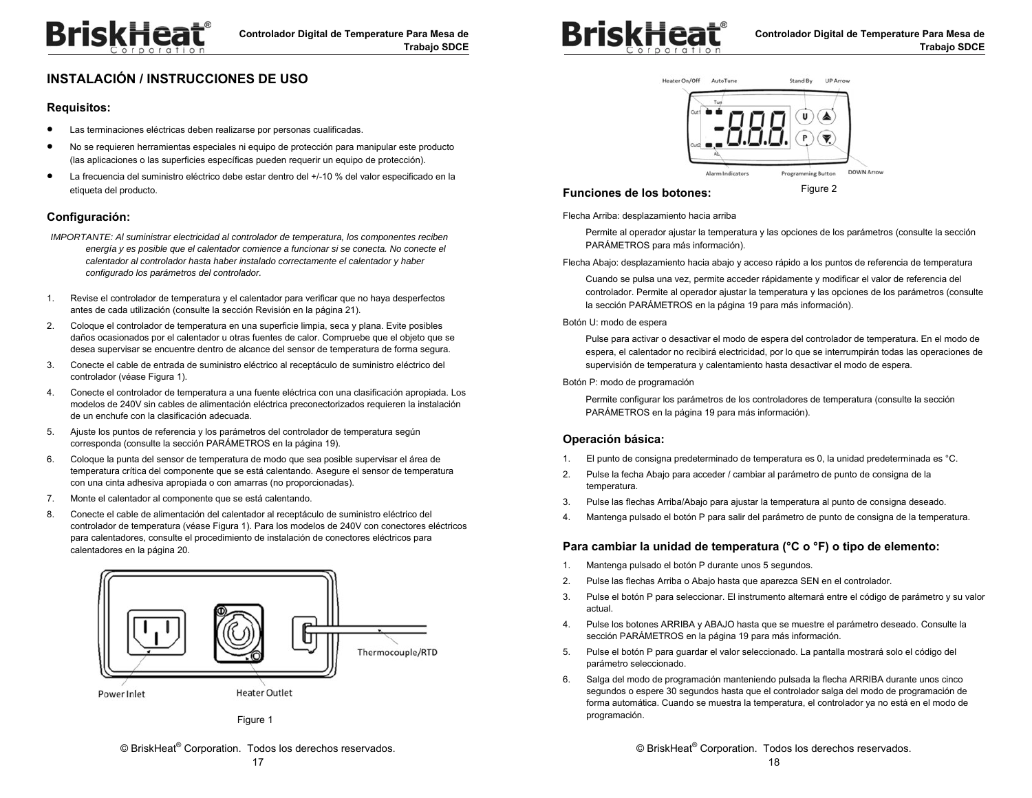

## **INSTALACIÓN / INSTRUCCIONES DE USO**

#### **Requisitos:**

- $\bullet$ Las terminaciones eléctricas deben realizarse por personas cualificadas.
- $\bullet$  No se requieren herramientas especiales ni equipo de protección para manipular este producto (las aplicaciones o las superficies específicas pueden requerir un equipo de protección).
- $\bullet$  La frecuencia del suministro eléctrico debe estar dentro del +/-10 % del valor especificado en la etiqueta del producto.

#### **Configuración:**

- *IMPORTANTE: Al suministrar electricidad al controlador de temperatura, los componentes reciben energía y es posible que el calentador comience a funcionar si se conecta. No conecte el calentador al controlador hasta haber instalado correctamente el calentador y haber configurado los parámetros del controlador.*
- 1. Revise el controlador de temperatura y el calentador para verificar que no haya desperfectos antes de cada utilización (consulte la sección Revisión en la página 21).
- 2. Coloque el controlador de temperatura en una superficie limpia, seca y plana. Evite posibles daños ocasionados por el calentador u otras fuentes de calor. Compruebe que el objeto que se desea supervisar se encuentre dentro de alcance del sensor de temperatura de forma segura.
- 3. Conecte el cable de entrada de suministro eléctrico al receptáculo de suministro eléctrico del controlador (véase Figura 1).
- 4. Conecte el controlador de temperatura a una fuente eléctrica con una clasificación apropiada. Los modelos de 240V sin cables de alimentación eléctrica preconectorizados requieren la instalación de un enchufe con la clasificación adecuada.
- 5. Ajuste los puntos de referencia y los parámetros del controlador de temperatura según corresponda (consulte la sección PARÁMETROS en la página 19).
- 6. Coloque la punta del sensor de temperatura de modo que sea posible supervisar el área de temperatura crítica del componente que se está calentando. Asegure el sensor de temperatura con una cinta adhesiva apropiada o con amarras (no proporcionadas).
- 7. Monte el calentador al componente que se está calentando.
- 8. Conecte el cable de alimentación del calentador al receptáculo de suministro eléctrico del controlador de temperatura (véase Figura 1). Para los modelos de 240V con conectores eléctricos para calentadores, consulte el procedimiento de instalación de conectores eléctricos para calentadores en la página 20.



Figure 1





#### **Funciones de los botones:**

Figure 2

Flecha Arriba: desplazamiento hacia arriba

Permite al operador ajustar la temperatura y las opciones de los parámetros (consulte la sección PARÁMETROS para más información).

Flecha Abajo: desplazamiento hacia abajo y acceso rápido a los puntos de referencia de temperatura

Cuando se pulsa una vez, permite acceder rápidamente y modificar el valor de referencia del controlador. Permite al operador ajustar la temperatura y las opciones de los parámetros (consulte la sección PARÁMETROS en la página 19 para más información).

#### Botón U: modo de espera

Pulse para activar o desactivar el modo de espera del controlador de temperatura. En el modo de espera, el calentador no recibirá electricidad, por lo que se interrumpirán todas las operaciones de supervisión de temperatura y calentamiento hasta desactivar el modo de espera.

#### Botón P: modo de programación

Permite configurar los parámetros de los controladores de temperatura (consulte la sección PARÁMETROS en la página 19 para más información).

#### **Operación básica:**

- 1. El punto de consigna predeterminado de temperatura es 0, la unidad predeterminada es °C.
- 2. Pulse la fecha Abajo para acceder / cambiar al parámetro de punto de consigna de la temperatura.
- 3. Pulse las flechas Arriba/Abajo para ajustar la temperatura al punto de consigna deseado.
- 4. Mantenga pulsado el botón P para salir del parámetro de punto de consigna de la temperatura.

#### **Para cambiar la unidad de temperatura (°C o °F) o tipo de elemento:**

- 1. Mantenga pulsado el botón P durante unos 5 segundos.
- 2. Pulse las flechas Arriba o Abajo hasta que aparezca SEN en el controlador.
- 3. Pulse el botón P para seleccionar. El instrumento alternará entre el código de parámetro y su valor actual.
- 4. Pulse los botones ARRIBA y ABAJO hasta que se muestre el parámetro deseado. Consulte la sección PARÁMETROS en la página 19 para más información.
- 5. Pulse el botón P para guardar el valor seleccionado. La pantalla mostrará solo el código del parámetro seleccionado.
- 6. Salga del modo de programación manteniendo pulsada la flecha ARRIBA durante unos cinco segundos o espere 30 segundos hasta que el controlador salga del modo de programación de forma automática. Cuando se muestra la temperatura, el controlador ya no está en el modo de programación.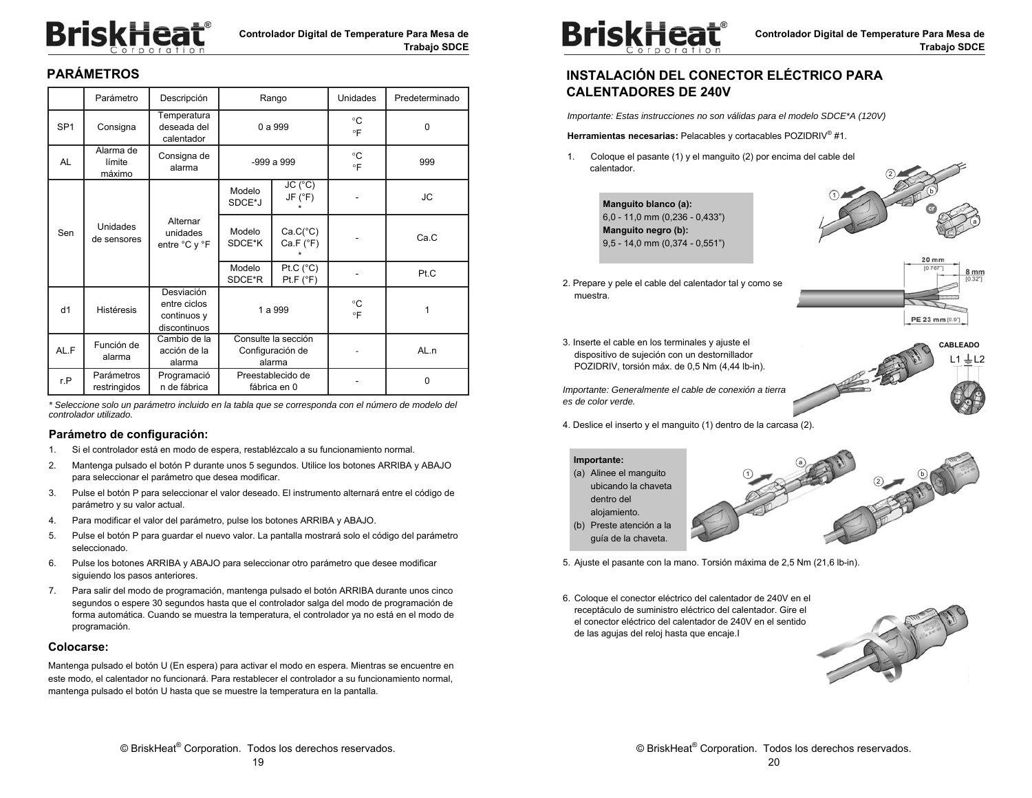# **BriskHeat**®

## **PARÁMETROS**

|                 | Parámetro                     | Descripción                                               | Rango                                             |                                 | <b>Unidades</b> | Predeterminado |
|-----------------|-------------------------------|-----------------------------------------------------------|---------------------------------------------------|---------------------------------|-----------------|----------------|
| SP <sub>1</sub> | Consigna                      | Temperatura<br>deseada del<br>calentador                  | 0 a 999                                           |                                 | °C<br>$\circ$ F | $\Omega$       |
| <b>AL</b>       | Alarma de<br>límite<br>máximo | Consigna de<br>alarma                                     |                                                   | $-999a$ 999                     |                 | 999            |
|                 |                               |                                                           | Modelo<br>SDCE*J                                  | JC (°C)<br>JF (°F)              |                 | JC             |
| Sen             | Unidades<br>de sensores       | Alternar<br>unidades<br>entre °C y °F                     | Modelo<br>SDCE*K                                  | $Ca.C(^{\circ}C)$<br>Ca.F (°F)  |                 | Ca.C           |
|                 |                               |                                                           | Modelo<br>SDCE*R                                  | Pt.C $(^{\circ}C)$<br>Pt.F (°F) |                 | Pt.C           |
| d1              | <b>Histéresis</b>             | Desviación<br>entre ciclos<br>continuos y<br>discontinuos | 1 a 999                                           |                                 | °C<br>°F        | 1              |
| AL.F            | Función de<br>alarma          | Cambio de la<br>acción de la<br>alarma                    | Consulte la sección<br>Configuración de<br>alarma |                                 |                 | AL.n           |
| r.P             | Parámetros<br>restringidos    | Programació<br>n de fábrica                               | Preestablecido de<br>fábrica en 0                 |                                 |                 | 0              |

*\* Seleccione solo un parámetro incluido en la tabla que se corresponda con el número de modelo del controlador utilizado.* 

#### **Parámetro de configuración:**

- 1. Si el controlador está en modo de espera, restablézcalo a su funcionamiento normal.
- 2. Mantenga pulsado el botón P durante unos 5 segundos. Utilice los botones ARRIBA y ABAJO para seleccionar el parámetro que desea modificar.
- 3. Pulse el botón P para seleccionar el valor deseado. El instrumento alternará entre el código de parámetro y su valor actual.
- 4. Para modificar el valor del parámetro, pulse los botones ARRIBA y ABAJO.
- 5. Pulse el botón P para guardar el nuevo valor. La pantalla mostrará solo el código del parámetro seleccionado.
- 6. Pulse los botones ARRIBA y ABAJO para seleccionar otro parámetro que desee modificar siguiendo los pasos anteriores.
- 7. Para salir del modo de programación, mantenga pulsado el botón ARRIBA durante unos cinco segundos o espere 30 segundos hasta que el controlador salga del modo de programación de forma automática. Cuando se muestra la temperatura, el controlador ya no está en el modo de programación.

#### **Colocarse:**

Mantenga pulsado el botón U (En espera) para activar el modo en espera. Mientras se encuentre en este modo, el calentador no funcionará. Para restablecer el controlador a su funcionamiento normal, mantenga pulsado el botón U hasta que se muestre la temperatura en la pantalla.



## **INSTALACIÓN DEL CONECTOR ELÉCTRICO PARA CALENTADORES DE 240V**

*Importante: Estas instrucciones no son válidas para el modelo SDCE\*A (120V)* 

**Herramientas necesarias:** Pelacables y cortacables POZIDRIV® #1.

1. Coloque el pasante (1) y el manguito (2) por encima del cable del calentador.

> **Manguito blanco (a):**  6,0 - 11,0 mm (0,236 - 0,433") **Manguito negro (b):**  9,5 - 14,0 mm (0,374 - 0,551")



 $20$  mn

PE 23 mm [0.9]

 $L1 \perp L2$ **CABLEADO** 

2. Prepare y pele el cable del calentador tal y como se muestra.

3. Inserte el cable en los terminales y ajuste el dispositivo de sujeción con un destornillador POZIDRIV, torsión máx. de 0,5 Nm (4,44 lb-in).

*Importante: Generalmente el cable de conexión a tierra es de color verde.* 



**Importante:**  (a) Alinee el manguito ubicando la chaveta dentro del alojamiento. (b) Preste atención a la guía de la chaveta.



5. Ajuste el pasante con la mano. Torsión máxima de 2,5 Nm (21,6 lb-in).

6. Coloque el conector eléctrico del calentador de 240V en el receptáculo de suministro eléctrico del calentador. Gire el el conector eléctrico del calentador de 240V en el sentido de las agujas del reloj hasta que encaje.I

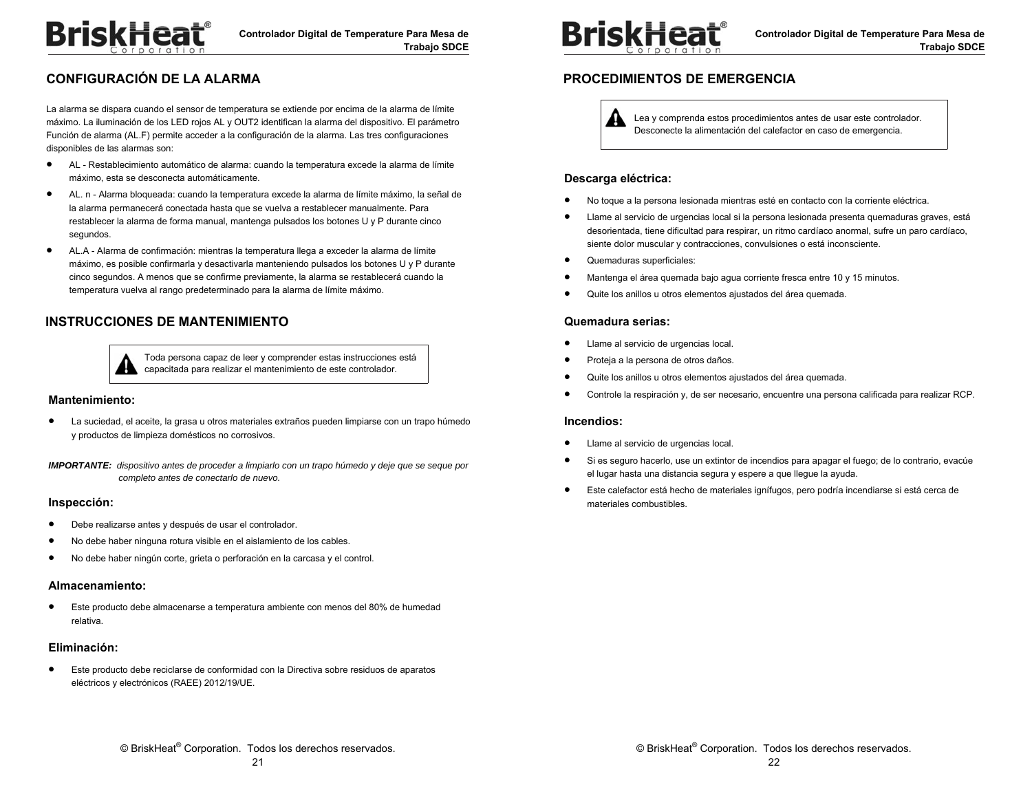## **CONFIGURACIÓN DE LA ALARMA**

La alarma se dispara cuando el sensor de temperatura se extiende por encima de la alarma de límite máximo. La iluminación de los LED rojos AL y OUT2 identifican la alarma del dispositivo. El parámetro Función de alarma (AL.F) permite acceder a la configuración de la alarma. Las tres configuraciones disponibles de las alarmas son:

- $\bullet$  AL - Restablecimiento automático de alarma: cuando la temperatura excede la alarma de límite máximo, esta se desconecta automáticamente.
- $\bullet$  AL. n - Alarma bloqueada: cuando la temperatura excede la alarma de límite máximo, la señal de la alarma permanecerá conectada hasta que se vuelva a restablecer manualmente. Para restablecer la alarma de forma manual, mantenga pulsados los botones U y P durante cinco segundos.
- $\bullet$  AL.A - Alarma de confirmación: mientras la temperatura llega a exceder la alarma de límite máximo, es posible confirmarla y desactivarla manteniendo pulsados los botones U y P durante cinco segundos. A menos que se confirme previamente, la alarma se restablecerá cuando la temperatura vuelva al rango predeterminado para la alarma de límite máximo.

## **INSTRUCCIONES DE MANTENIMIENTO**



Toda persona capaz de leer y comprender estas instrucciones está capacitada para realizar el mantenimiento de este controlador.

#### **Mantenimiento:**

 $\bullet$  La suciedad, el aceite, la grasa u otros materiales extraños pueden limpiarse con un trapo húmedo y productos de limpieza domésticos no corrosivos.

*IMPORTANTE: dispositivo antes de proceder a limpiarlo con un trapo húmedo y deje que se seque por completo antes de conectarlo de nuevo.* 

#### **Inspección:**

- $\bullet$ Debe realizarse antes y después de usar el controlador.
- $\bullet$ No debe haber ninguna rotura visible en el aislamiento de los cables.
- $\bullet$ No debe haber ningún corte, grieta o perforación en la carcasa y el control.

#### **Almacenamiento:**

 $\bullet$  Este producto debe almacenarse a temperatura ambiente con menos del 80% de humedad relativa.

#### **Eliminación:**

 $\bullet$  Este producto debe reciclarse de conformidad con la Directiva sobre residuos de aparatos eléctricos y electrónicos (RAEE) 2012/19/UE.



## **PROCEDIMIENTOS DE EMERGENCIA**

Lea y comprenda estos procedimientos antes de usar este controlador. Desconecte la alimentación del calefactor en caso de emergencia.

#### **Descarga eléctrica:**

- $\bullet$ No toque a la persona lesionada mientras esté en contacto con la corriente eléctrica.
- $\bullet$  Llame al servicio de urgencias local si la persona lesionada presenta quemaduras graves, está desorientada, tiene dificultad para respirar, un ritmo cardíaco anormal, sufre un paro cardíaco, siente dolor muscular y contracciones, convulsiones o está inconsciente.
- $\bullet$ Quemaduras superficiales:
- $\bullet$ Mantenga el área quemada bajo agua corriente fresca entre 10 y 15 minutos.
- $\bullet$ Quite los anillos u otros elementos ajustados del área quemada.

#### **Quemadura serias:**

- $\bullet$ Llame al servicio de urgencias local.
- $\bullet$ Proteja a la persona de otros daños.
- $\bullet$ Quite los anillos u otros elementos ajustados del área quemada.
- $\bullet$ Controle la respiración y, de ser necesario, encuentre una persona calificada para realizar RCP.

#### **Incendios:**

- $\bullet$ Llame al servicio de urgencias local.
- $\bullet$  Si es seguro hacerlo, use un extintor de incendios para apagar el fuego; de lo contrario, evacúe el lugar hasta una distancia segura y espere a que llegue la ayuda.
- $\bullet$  Este calefactor está hecho de materiales ignífugos, pero podría incendiarse si está cerca de materiales combustibles.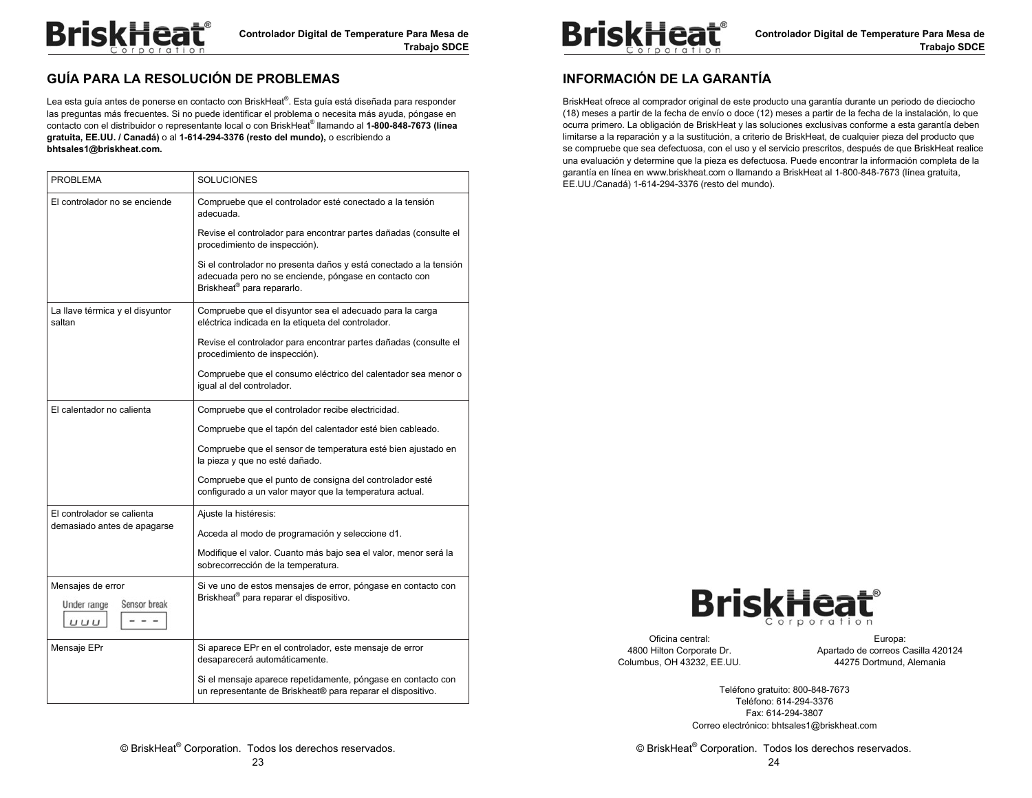

## **GUÍA PARA LA RESOLUCIÓN DE PROBLEMAS**

Lea esta guía antes de ponerse en contacto con BriskHeat®. Esta guía está diseñada para responder las preguntas más frecuentes. Si no puede identificar el problema o necesita más ayuda, póngase en contacto con el distribuidor o representante local o con BriskHeat® llamando al **1-800-848-7673 (línea gratuita, EE.UU. / Canadá)** o al **1-614-294-3376 (resto del mundo),** o escribiendo a **bhtsales1@briskheat.com.** 

| <b>PROBLEMA</b>                           | <b>SOLUCIONES</b>                                                                                                                                                    |
|-------------------------------------------|----------------------------------------------------------------------------------------------------------------------------------------------------------------------|
| El controlador no se enciende             | Compruebe que el controlador esté conectado a la tensión<br>adecuada.                                                                                                |
|                                           | Revise el controlador para encontrar partes dañadas (consulte el<br>procedimiento de inspección).                                                                    |
|                                           | Si el controlador no presenta daños y está conectado a la tensión<br>adecuada pero no se enciende, póngase en contacto con<br>Briskheat <sup>®</sup> para repararlo. |
| La llave térmica y el disyuntor<br>saltan | Compruebe que el disyuntor sea el adecuado para la carga<br>eléctrica indicada en la etiqueta del controlador.                                                       |
|                                           | Revise el controlador para encontrar partes dañadas (consulte el<br>procedimiento de inspección).                                                                    |
|                                           | Compruebe que el consumo eléctrico del calentador sea menor o<br>igual al del controlador.                                                                           |
| El calentador no calienta                 | Compruebe que el controlador recibe electricidad.                                                                                                                    |
|                                           | Compruebe que el tapón del calentador esté bien cableado.                                                                                                            |
|                                           | Compruebe que el sensor de temperatura esté bien ajustado en<br>la pieza y que no esté dañado.                                                                       |
|                                           | Compruebe que el punto de consigna del controlador esté<br>configurado a un valor mayor que la temperatura actual.                                                   |
| El controlador se calienta                | Ajuste la histéresis:                                                                                                                                                |
| demasiado antes de apagarse               | Acceda al modo de programación y seleccione d1.                                                                                                                      |
|                                           | Modifique el valor. Cuanto más bajo sea el valor, menor será la<br>sobrecorrección de la temperatura.                                                                |
| Mensajes de error                         | Si ve uno de estos mensajes de error, póngase en contacto con                                                                                                        |
| Sensor break<br>Under range<br>UUU        | Briskheat <sup>®</sup> para reparar el dispositivo.                                                                                                                  |
| Mensaje EPr                               | Si aparece EPr en el controlador, este mensaje de error<br>desaparecerá automáticamente.                                                                             |
|                                           | Si el mensaje aparece repetidamente, póngase en contacto con<br>un representante de Briskheat® para reparar el dispositivo.                                          |



## **INFORMACIÓN DE LA GARANTÍA**

BriskHeat ofrece al comprador original de este producto una garantía durante un periodo de dieciocho (18) meses a partir de la fecha de envío o doce (12) meses a partir de la fecha de la instalación, lo que ocurra primero. La obligación de BriskHeat y las soluciones exclusivas conforme a esta garantía deben limitarse a la reparación y a la sustitución, a criterio de BriskHeat, de cualquier pieza del producto que se compruebe que sea defectuosa, con el uso y el servicio prescritos, después de que BriskHeat realice una evaluación y determine que la pieza es defectuosa. Puede encontrar la información completa de la garantía en línea en www.briskheat.com o llamando a BriskHeat al 1-800-848-7673 (línea gratuita, EE.UU./Canadá) 1-614-294-3376 (resto del mundo).



Oficina central: 4800 Hilton Corporate Dr. Columbus, OH 43232, EE.UU.

Europa: Apartado de correos Casilla 420124 44275 Dortmund, Alemania

Teléfono gratuito: 800-848-7673 Teléfono: 614-294-3376 Fax: 614-294-3807 Correo electrónico: bhtsales1@briskheat.com

© BriskHeat® Corporation. Todos los derechos reservados. 24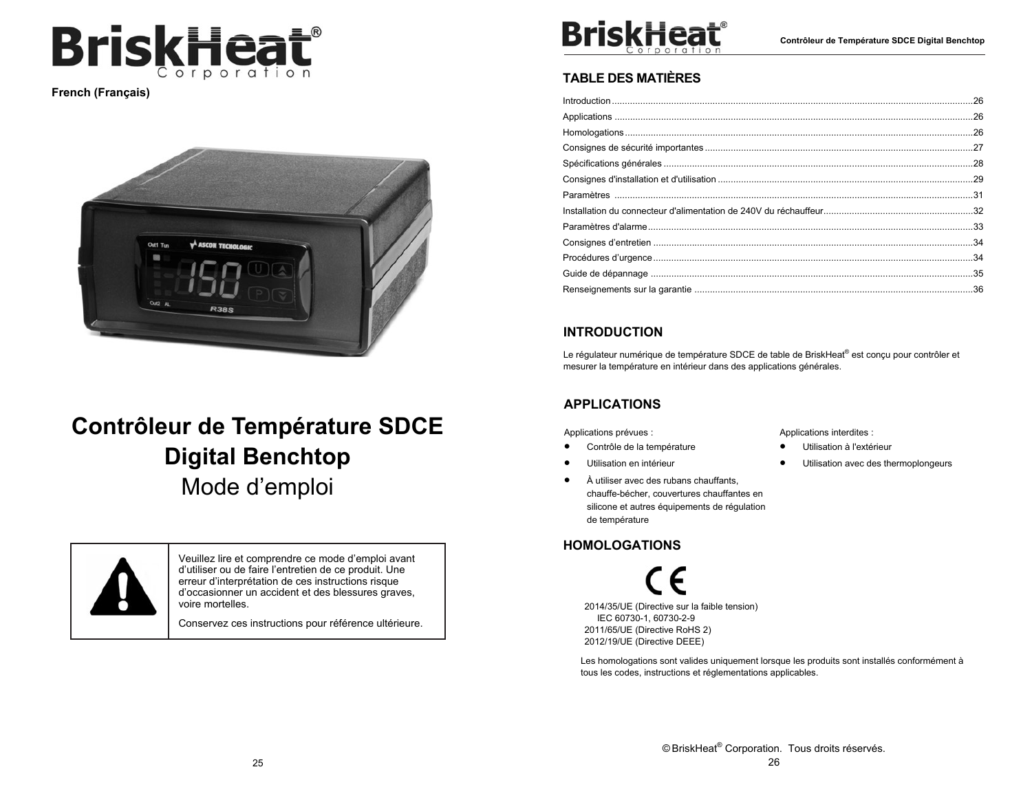

**French (Français)** 



# **Contrôleur de Température SDCE Digital Benchtop**  Mode d'emploi



Veuillez lire et comprendre ce mode d'emploi avant d'utiliser ou de faire l'entretien de ce produit. Une erreur d'interprétation de ces instructions risque d'occasionner un accident et des blessures graves, voire mortelles.

Conservez ces instructions pour référence ultérieure.



## **TABLE DES MATIÈRES**

## **INTRODUCTION**

Le régulateur numérique de température SDCE de table de BriskHeat® est conçu pour contrôler et mesurer la température en intérieur dans des applications générales.

## **APPLICATIONS**

Applications prévues :

- $\bullet$ Contrôle de la température
- $\bullet$ Utilisation en intérieur
- $\bullet$  À utiliser avec des rubans chauffants, chauffe-bécher, couvertures chauffantes en silicone et autres équipements de régulation de température

## **HOMOLOGATIONS**

2014/35/UE (Directive sur la faible tension) IEC 60730-1, 60730-2-9 2011/65/UE (Directive RoHS 2) 2012/19/UE (Directive DEEE)

Les homologations sont valides uniquement lorsque les produits sont installés conformément à tous les codes, instructions et réglementations applicables.

Applications interdites :

- $\bullet$ Utilisation à l'extérieur
- $\bullet$ Utilisation avec des thermoplongeurs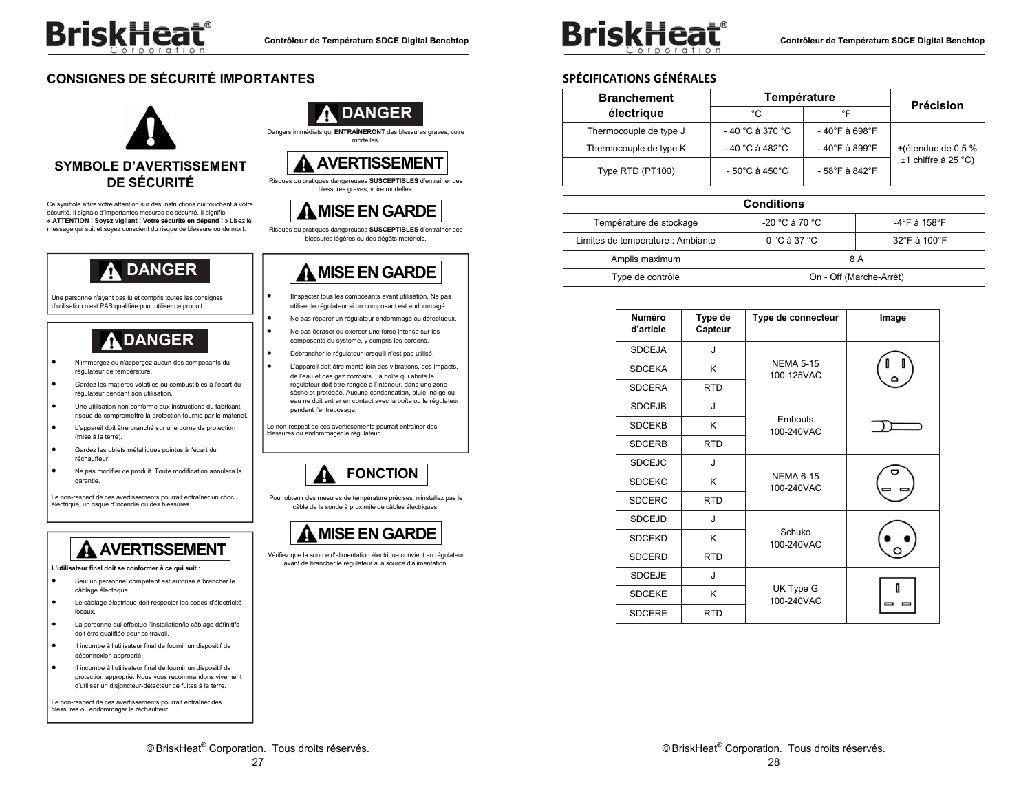

## **CONSIGNES DE SÉCURITÉ IMPORTANTES**



Ce symbole attire votre attention sur des instructions qui touchent à votre sécurité. Il signale d'importantes mesures de sécurité. Il signifie **« ATTENTION ! Soyez vigilant ! Votre sécurité en dépend ! »** Lisez le message qui suit et soyez conscient du risque de blessure ou de mort.

# **DANGER**

Une personne n'ayant pas lu et compris toutes les consignes d'utilisation n'est PAS qualifiée pour utiliser ce produit.

# **DANGER**

- . N'immergez ou n'aspergez aucun des composants du régulateur de température.
- . Gardez les matières volatiles ou combustibles à l'écart du régulateur pendant son utilisation.
- $\bullet$  Une utilisation non conforme aux instructions du fabricant risque de compromettre la protection fournie par le matériel.
- $\bullet$  L'appareil doit être branché sur une borne de protection (mise à la terre).
- $\bullet$  Gardez les objets métalliques pointus à l'écart du réchauffeur.
- $\bullet$  Ne pas modifier ce produit. Toute modification annulera la garantie.

Le non-respect de ces avertissements pourrait entraîner un choc électrique, un risque d'incendie ou des blessures.

# **AVERTISSEMENT**

**L'utilisateur final doit se conformer à ce qui suit :** 

- . Seul un personnel compétent est autorisé à brancher le câblage électrique.
- $\bullet$  Le câblage électrique doit respecter les codes d'électricité locaux.
- $\bullet$  La personne qui effectue l'installation/le câblage définitifs doit être qualifiée pour ce travail.
- $\bullet$  Il incombe à l'utilisateur final de fournir un dispositif de déconnexion approprié.
- . Il incombe à l'utilisateur final de fournir un dispositif de protection approprié. Nous vous recommandons vivement d'utiliser un disjoncteur-détecteur de fuites à la terre.

Le non-respect de ces avertissements pourrait entraîner des blessures ou endommager le réchauffeur.



Dangers immédiats qui **ENTRAÎNERONT** des blessures graves, voire mortelles.

## **AVERTISSEMENT**

Risques ou pratiques dangereuses **SUSCEPTIBLES** d'entraîner des blessures graves, voire mortelles.

## **MISE EN GARDE**

Risques ou pratiques dangereuses **SUSCEPTIBLES** d'entraîner des blessures légères ou des dégâts matériels.

## **MISE EN GARDE**

- IInspecter tous les composants avant utilisation. Ne pas utiliser le régulateur si un composant est endommagé.
- Ne pas réparer un régulateur endommagé ou défectueux.
- Ne pas écraser ou exercer une force intense sur les composants du système, y compris les cordons.
- Débrancher le régulateur lorsqu'il n'est pas utilisé.

.

.

 $\bullet$ 

 $\bullet$ 

.

 L'appareil doit être monté loin des vibrations, des impacts, de l'eau et des gaz corrosifs. La boîte qui abrite le régulateur doit être rangée à l'intérieur, dans une zone sèche et protégée. Aucune condensation, pluie, neige ou eau ne doit entrer en contact avec la boîte ou le régulateur pendant l'entreposage.

Le non-respect de ces avertissements pourrait entraîner des blessures ou endommager le régulateur.



Pour obtenir des mesures de température précises, n'installez pas le câble de la sonde à proximité de câbles électriques.



Vérifiez que la source d'alimentation électrique convient au régulateur avant de brancher le régulateur à la source d'alimentation.



**Contrôleur de Température SDCE Digital Benchtop** 

## **SPÉCIFICATIONS GÉNÉRALES**

| <b>Branchement</b>     | Température      |                | <b>Précision</b>      |
|------------------------|------------------|----------------|-----------------------|
| électrique             | °C               | °F             |                       |
| Thermocouple de type J | - 40 °C à 370 °C | - 40°F à 698°F |                       |
| Thermocouple de type K | - 40 °C à 482°C  | - 40°F à 899°F | ±(étendue de 0,5 %    |
| Type RTD (PT100)       | - 50°C à 450°C   | - 58°F à 842°F | $±1$ chiffre à 25 °C) |

| <b>Conditions</b>                                                                |                         |              |  |
|----------------------------------------------------------------------------------|-------------------------|--------------|--|
| Température de stockage                                                          | -20 °C à 70 °C          | -4°F à 158°F |  |
| Limites de température : Ambiante<br>$0^\circ$ C à 37 $^\circ$ C<br>32°F à 100°F |                         |              |  |
| Amplis maximum                                                                   | 8 A                     |              |  |
| Type de contrôle                                                                 | On - Off (Marche-Arrêt) |              |  |

| <b>Numéro</b><br>d'article | Type de<br>Capteur | Type de connecteur             | Image |
|----------------------------|--------------------|--------------------------------|-------|
| <b>SDCEJA</b>              | J                  |                                |       |
| <b>SDCEKA</b>              | K                  | <b>NEMA 5-15</b><br>100-125VAC |       |
| <b>SDCERA</b>              | <b>RTD</b>         |                                |       |
| <b>SDCEJB</b>              | J                  |                                |       |
| <b>SDCEKB</b>              | K                  | Embouts<br>100-240VAC          |       |
| <b>SDCERB</b>              | <b>RTD</b>         |                                |       |
| <b>SDCEJC</b>              | J                  |                                |       |
| <b>SDCEKC</b>              | K                  | <b>NEMA 6-15</b><br>100-240VAC |       |
| <b>SDCERC</b>              | <b>RTD</b>         |                                |       |
| <b>SDCEJD</b>              | J                  |                                |       |
| <b>SDCEKD</b>              | K                  | Schuko<br>100-240VAC           |       |
| <b>SDCERD</b>              | <b>RTD</b>         |                                |       |
| <b>SDCEJE</b>              | J                  |                                |       |
| <b>SDCEKE</b>              | Κ                  | UK Type G<br>100-240VAC        | П     |
| <b>SDCERE</b>              | <b>RTD</b>         |                                |       |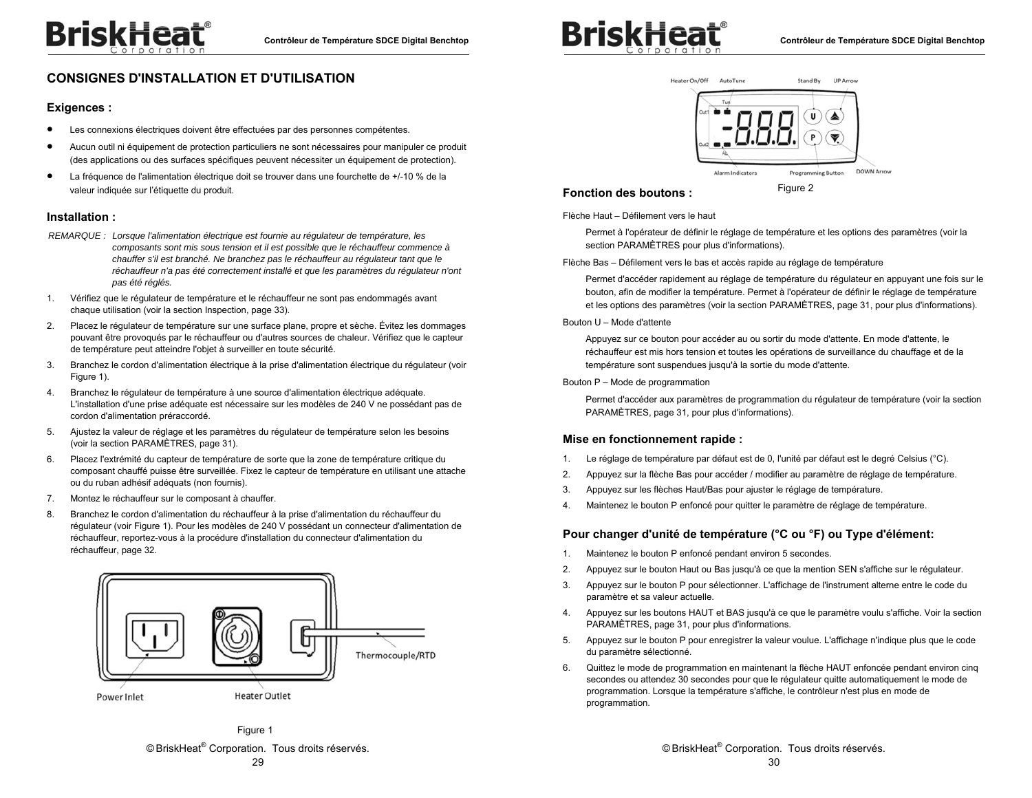

## **CONSIGNES D'INSTALLATION ET D'UTILISATION**

#### **Exigences :**

- $\bullet$ Les connexions électriques doivent être effectuées par des personnes compétentes.
- $\bullet$  Aucun outil ni équipement de protection particuliers ne sont nécessaires pour manipuler ce produit (des applications ou des surfaces spécifiques peuvent nécessiter un équipement de protection).
- $\bullet$  La fréquence de l'alimentation électrique doit se trouver dans une fourchette de +/-10 % de la valeur indiquée sur l'étiquette du produit.

#### **Installation :**

- *REMARQUE : Lorsque l'alimentation électrique est fournie au régulateur de température, les composants sont mis sous tension et il est possible que le réchauffeur commence à chauffer s'il est branché. Ne branchez pas le réchauffeur au régulateur tant que le réchauffeur n'a pas été correctement installé et que les paramètres du régulateur n'ont pas été réglés.*
- 1. Vérifiez que le régulateur de température et le réchauffeur ne sont pas endommagés avant chaque utilisation (voir la section Inspection, page 33).
- 2. Placez le régulateur de température sur une surface plane, propre et sèche. Évitez les dommages pouvant être provoqués par le réchauffeur ou d'autres sources de chaleur. Vérifiez que le capteur de température peut atteindre l'objet à surveiller en toute sécurité.
- 3. Branchez le cordon d'alimentation électrique à la prise d'alimentation électrique du régulateur (voir Figure 1).
- 4. Branchez le régulateur de température à une source d'alimentation électrique adéquate. L'installation d'une prise adéquate est nécessaire sur les modèles de 240 V ne possédant pas de cordon d'alimentation préraccordé.
- 5. Ajustez la valeur de réglage et les paramètres du régulateur de température selon les besoins (voir la section PARAMÈTRES, page 31).
- 6. Placez l'extrémité du capteur de température de sorte que la zone de température critique du composant chauffé puisse être surveillée. Fixez le capteur de température en utilisant une attache ou du ruban adhésif adéquats (non fournis).
- 7. Montez le réchauffeur sur le composant à chauffer.
- 8. Branchez le cordon d'alimentation du réchauffeur à la prise d'alimentation du réchauffeur du régulateur (voir Figure 1). Pour les modèles de 240 V possédant un connecteur d'alimentation de réchauffeur, reportez-vous à la procédure d'installation du connecteur d'alimentation du réchauffeur, page 32.







#### **Fonction des boutons :**

Figure 2

Flèche Haut – Défilement vers le haut

Permet à l'opérateur de définir le réglage de température et les options des paramètres (voir la section PARAMÈTRES pour plus d'informations).

Flèche Bas – Défilement vers le bas et accès rapide au réglage de température

Permet d'accéder rapidement au réglage de température du régulateur en appuyant une fois sur le bouton, afin de modifier la température. Permet à l'opérateur de définir le réglage de température et les options des paramètres (voir la section PARAMÈTRES, page 31, pour plus d'informations).

Bouton U – Mode d'attente

Appuyez sur ce bouton pour accéder au ou sortir du mode d'attente. En mode d'attente, le réchauffeur est mis hors tension et toutes les opérations de surveillance du chauffage et de la température sont suspendues jusqu'à la sortie du mode d'attente.

#### Bouton P – Mode de programmation

Permet d'accéder aux paramètres de programmation du régulateur de température (voir la section PARAMÈTRES, page 31, pour plus d'informations).

#### **Mise en fonctionnement rapide :**

- 1. Le réglage de température par défaut est de 0, l'unité par défaut est le degré Celsius (°C).
- 2. Appuyez sur la flèche Bas pour accéder / modifier au paramètre de réglage de température.
- 3. Appuyez sur les flèches Haut/Bas pour ajuster le réglage de température.
- 4. Maintenez le bouton P enfoncé pour quitter le paramètre de réglage de température.

#### **Pour changer d'unité de température (°C ou °F) ou Type d'élément:**

- 1. Maintenez le bouton P enfoncé pendant environ 5 secondes.
- 2. Appuyez sur le bouton Haut ou Bas jusqu'à ce que la mention SEN s'affiche sur le régulateur.
- 3. Appuyez sur le bouton P pour sélectionner. L'affichage de l'instrument alterne entre le code du paramètre et sa valeur actuelle.
- 4. Appuyez sur les boutons HAUT et BAS jusqu'à ce que le paramètre voulu s'affiche. Voir la section PARAMÈTRES, page 31, pour plus d'informations.
- 5. Appuyez sur le bouton P pour enregistrer la valeur voulue. L'affichage n'indique plus que le code du paramètre sélectionné.
- 6. Quittez le mode de programmation en maintenant la flèche HAUT enfoncée pendant environ cinq secondes ou attendez 30 secondes pour que le régulateur quitte automatiquement le mode de programmation. Lorsque la température s'affiche, le contrôleur n'est plus en mode de programmation.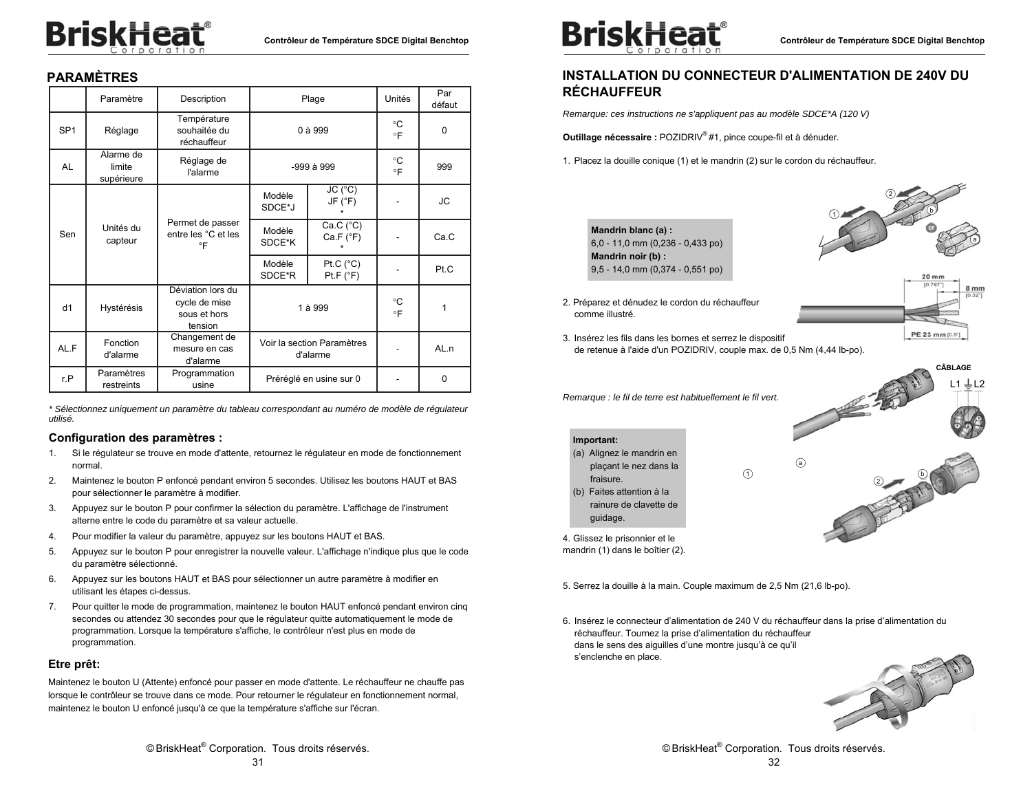# **BriskHeat**®

## **PARAMÈTRES**

|                 | Paramètre                         | Description                                                   |                                        | Plage                           | Unités                   | Par<br>défaut |
|-----------------|-----------------------------------|---------------------------------------------------------------|----------------------------------------|---------------------------------|--------------------------|---------------|
| SP <sub>1</sub> | Réglage                           | Température<br>souhaitée du<br>réchauffeur                    |                                        | 0 à 999                         | °C<br>$\circ \mathsf{F}$ | 0             |
| AL              | Alarme de<br>limite<br>supérieure | Réglage de<br>l'alarme                                        |                                        | -999 à 999                      | °C<br>$\circ$ F          | 999           |
|                 |                                   |                                                               | Modèle<br>SDCE*J                       | JC (°C)<br>JF (°F)              |                          | JС            |
| Sen             | Unités du<br>capteur              | Permet de passer<br>entre les °C et les<br>°F                 | Modèle<br>SDCE*K                       | Ca.C (°C)<br>Ca.F (°F)          |                          | Ca.C          |
|                 |                                   |                                                               | Modèle<br>SDCE*R                       | Pt.C $(^{\circ}C)$<br>Pt.F (°F) |                          | Pt.C          |
| d1              | Hystérésis                        | Déviation lors du<br>cycle de mise<br>sous et hors<br>tension |                                        | 1 à 999                         | °C<br>$\circ$ F          | 1             |
| AL.F            | Fonction<br>d'alarme              | Changement de<br>mesure en cas<br>d'alarme                    | Voir la section Paramètres<br>d'alarme |                                 |                          | AL.n          |
| r.P             | Paramètres<br>restreints          | Programmation<br>usine                                        |                                        | Préréglé en usine sur 0         |                          | 0             |

*\* Sélectionnez uniquement un paramètre du tableau correspondant au numéro de modèle de régulateur utilisé.* 

#### **Configuration des paramètres :**

- 1. Si le régulateur se trouve en mode d'attente, retournez le régulateur en mode de fonctionnement normal.
- 2. Maintenez le bouton P enfoncé pendant environ 5 secondes. Utilisez les boutons HAUT et BAS pour sélectionner le paramètre à modifier.
- 3. Appuyez sur le bouton P pour confirmer la sélection du paramètre. L'affichage de l'instrument alterne entre le code du paramètre et sa valeur actuelle.
- 4. Pour modifier la valeur du paramètre, appuyez sur les boutons HAUT et BAS.
- 5. Appuyez sur le bouton P pour enregistrer la nouvelle valeur. L'affichage n'indique plus que le code du paramètre sélectionné.
- 6. Appuyez sur les boutons HAUT et BAS pour sélectionner un autre paramètre à modifier en utilisant les étapes ci-dessus.
- 7. Pour quitter le mode de programmation, maintenez le bouton HAUT enfoncé pendant environ cinq secondes ou attendez 30 secondes pour que le régulateur quitte automatiquement le mode de programmation. Lorsque la température s'affiche, le contrôleur n'est plus en mode de programmation.

#### **Etre prêt:**

Maintenez le bouton U (Attente) enfoncé pour passer en mode d'attente. Le réchauffeur ne chauffe pas lorsque le contrôleur se trouve dans ce mode. Pour retourner le régulateur en fonctionnement normal, maintenez le bouton U enfoncé jusqu'à ce que la température s'affiche sur l'écran.



## **INSTALLATION DU CONNECTEUR D'ALIMENTATION DE 240V DU RÉCHAUFFEUR**

*Remarque: ces instructions ne s'appliquent pas au modèle SDCE\*A (120 V)* 

**Outillage nécessaire :** POZIDRIV® #1, pince coupe-fil et à dénuder.

1. Placez la douille conique (1) et le mandrin (2) sur le cordon du réchauffeur.



2. Préparez et dénudez le cordon du réchauffeur

comme illustré.

**Important:** 

fraisure. (b) Faites attention à la rainure de clavette de

guidage.



**CÂBLAGE** 

3. Insérez les fils dans les bornes et serrez le dispositif de retenue à l'aide d'un POZIDRIV, couple max. de 0,5 Nm (4,44 lb-po).

*Remarque : le fil de terre est habituellement le fil vert.* 



4. Glissez le prisonnier et le mandrin (1) dans le boîtier (2).

(a) Alignez le mandrin en plaçant le nez dans la

5. Serrez la douille à la main. Couple maximum de 2,5 Nm (21,6 lb-po).

6. Insérez le connecteur d'alimentation de 240 V du réchauffeur dans la prise d'alimentation du réchauffeur. Tournez la prise d'alimentation du réchauffeur dans le sens des aiguilles d'une montre jusqu'à ce qu'il <sup>s</sup>'enclenche en place.

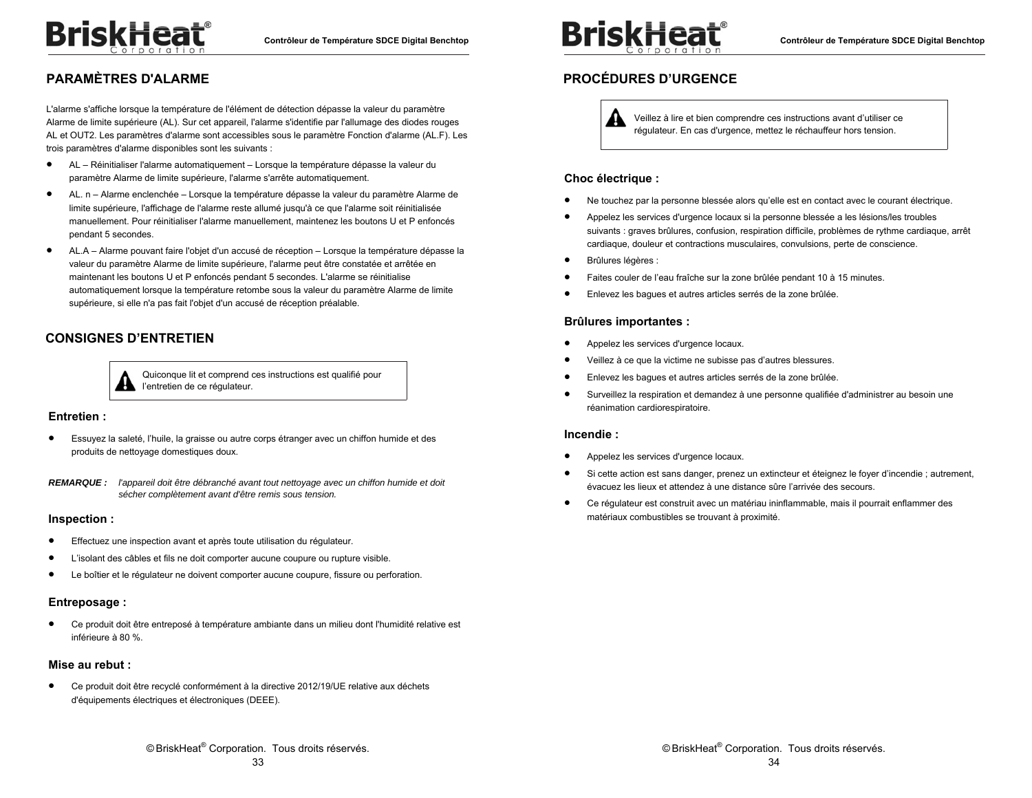## **PARAMÈTRES D'ALARME**

L'alarme s'affiche lorsque la température de l'élément de détection dépasse la valeur du paramètre Alarme de limite supérieure (AL). Sur cet appareil, l'alarme s'identifie par l'allumage des diodes rouges AL et OUT2. Les paramètres d'alarme sont accessibles sous le paramètre Fonction d'alarme (AL.F). Les trois paramètres d'alarme disponibles sont les suivants :

- $\bullet$  AL – Réinitialiser l'alarme automatiquement – Lorsque la température dépasse la valeur du paramètre Alarme de limite supérieure, l'alarme s'arrête automatiquement.
- $\bullet$  AL. n – Alarme enclenchée – Lorsque la température dépasse la valeur du paramètre Alarme de limite supérieure, l'affichage de l'alarme reste allumé jusqu'à ce que l'alarme soit réinitialisée manuellement. Pour réinitialiser l'alarme manuellement, maintenez les boutons U et P enfoncés pendant 5 secondes.
- $\bullet$  AL.A – Alarme pouvant faire l'objet d'un accusé de réception – Lorsque la température dépasse la valeur du paramètre Alarme de limite supérieure, l'alarme peut être constatée et arrêtée en maintenant les boutons U et P enfoncés pendant 5 secondes. L'alarme se réinitialise automatiquement lorsque la température retombe sous la valeur du paramètre Alarme de limite supérieure, si elle n'a pas fait l'objet d'un accusé de réception préalable.

## **CONSIGNES D'ENTRETIEN**

#### Quiconque lit et comprend ces instructions est qualifié pour l'entretien de ce régulateur.

#### **Entretien :**

 $\bullet$  Essuyez la saleté, l'huile, la graisse ou autre corps étranger avec un chiffon humide et des produits de nettoyage domestiques doux.

*REMARQUE : l'appareil doit être débranché avant tout nettoyage avec un chiffon humide et doit sécher complètement avant d'être remis sous tension.* 

#### **Inspection :**

- $\bullet$ Effectuez une inspection avant et après toute utilisation du régulateur.
- $\bullet$ L'isolant des câbles et fils ne doit comporter aucune coupure ou rupture visible.
- $\bullet$ Le boîtier et le régulateur ne doivent comporter aucune coupure, fissure ou perforation.

#### **Entreposage :**

 $\bullet$  Ce produit doit être entreposé à température ambiante dans un milieu dont l'humidité relative est inférieure à 80 %.

#### **Mise au rebut :**

 $\bullet$  Ce produit doit être recyclé conformément à la directive 2012/19/UE relative aux déchets d'équipements électriques et électroniques (DEEE).



## **PROCÉDURES D'URGENCE**

Veillez à lire et bien comprendre ces instructions avant d'utiliser ce régulateur. En cas d'urgence, mettez le réchauffeur hors tension.

#### **Choc électrique :**

- $\bullet$ Ne touchez par la personne blessée alors qu'elle est en contact avec le courant électrique.
- $\bullet$  Appelez les services d'urgence locaux si la personne blessée a les lésions/les troubles suivants : graves brûlures, confusion, respiration difficile, problèmes de rythme cardiaque, arrêt cardiaque, douleur et contractions musculaires, convulsions, perte de conscience.
- $\bullet$ Brûlures légères :
- $\bullet$ Faites couler de l'eau fraîche sur la zone brûlée pendant 10 à 15 minutes.
- $\bullet$ Enlevez les bagues et autres articles serrés de la zone brûlée.

#### **Brûlures importantes :**

- $\bullet$ Appelez les services d'urgence locaux.
- $\bullet$ Veillez à ce que la victime ne subisse pas d'autres blessures.
- $\bullet$ Enlevez les bagues et autres articles serrés de la zone brûlée.
- $\bullet$  Surveillez la respiration et demandez à une personne qualifiée d'administrer au besoin une réanimation cardiorespiratoire.

#### **Incendie :**

- $\bullet$ Appelez les services d'urgence locaux.
- $\bullet$  Si cette action est sans danger, prenez un extincteur et éteignez le foyer d'incendie ; autrement, évacuez les lieux et attendez à une distance sûre l'arrivée des secours.
- $\bullet$  Ce régulateur est construit avec un matériau ininflammable, mais il pourrait enflammer des matériaux combustibles se trouvant à proximité.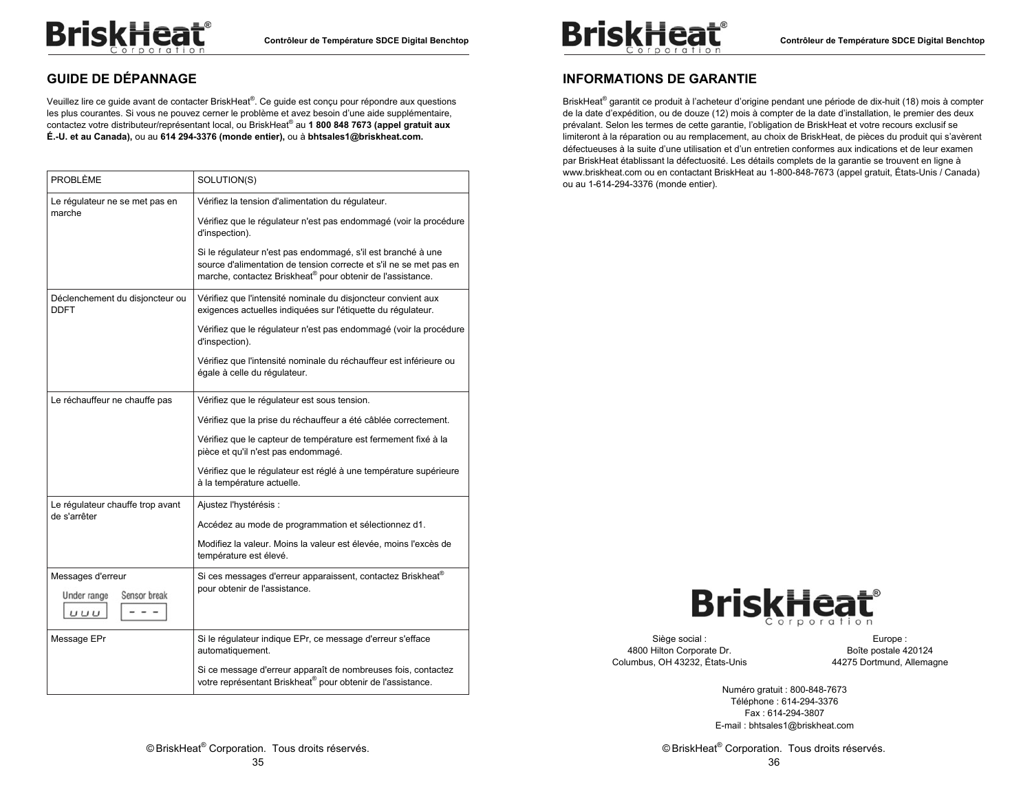## **GUIDE DE DÉPANNAGE**

Veuillez lire ce guide avant de contacter BriskHeat®. Ce guide est conçu pour répondre aux questions les plus courantes. Si vous ne pouvez cerner le problème et avez besoin d'une aide supplémentaire, contactez votre distributeur/représentant local, ou BriskHeat® au **1 800 848 7673 (appel gratuit aux É.-U. et au Canada),** ou au **614 294-3376 (monde entier),** ou à **bhtsales1@briskheat.com.** 

| PROBLÈME                                                  | SOLUTION(S)                                                                                                                                                                                                                                                                                                                                  |
|-----------------------------------------------------------|----------------------------------------------------------------------------------------------------------------------------------------------------------------------------------------------------------------------------------------------------------------------------------------------------------------------------------------------|
| Le régulateur ne se met pas en<br>marche                  | Vérifiez la tension d'alimentation du régulateur.<br>Vérifiez que le régulateur n'est pas endommagé (voir la procédure<br>d'inspection).<br>Si le régulateur n'est pas endommagé, s'il est branché à une<br>source d'alimentation de tension correcte et s'il ne se met pas en<br>marche, contactez Briskheat® pour obtenir de l'assistance. |
| Déclenchement du disjoncteur ou<br>DDFT                   | Vérifiez que l'intensité nominale du disjoncteur convient aux<br>exigences actuelles indiquées sur l'étiquette du régulateur.<br>Vérifiez que le régulateur n'est pas endommagé (voir la procédure<br>d'inspection).<br>Vérifiez que l'intensité nominale du réchauffeur est inférieure ou<br>égale à celle du régulateur.                   |
| Le réchauffeur ne chauffe pas                             | Vérifiez que le régulateur est sous tension.<br>Vérifiez que la prise du réchauffeur a été câblée correctement.<br>Vérifiez que le capteur de température est fermement fixé à la<br>pièce et qu'il n'est pas endommagé.<br>Vérifiez que le régulateur est réglé à une température supérieure<br>à la température actuelle.                  |
| Le régulateur chauffe trop avant<br>de s'arrêter          | Ajustez l'hystérésis :<br>Accédez au mode de programmation et sélectionnez d1.<br>Modifiez la valeur. Moins la valeur est élevée, moins l'excès de<br>température est élevé.                                                                                                                                                                 |
| Messages d'erreur<br>Under range<br>Sensor break<br>U U U | Si ces messages d'erreur apparaissent, contactez Briskheat <sup>®</sup><br>pour obtenir de l'assistance.                                                                                                                                                                                                                                     |
| Message EPr                                               | Si le régulateur indique EPr, ce message d'erreur s'efface<br>automatiquement.<br>Si ce message d'erreur apparaît de nombreuses fois, contactez<br>votre représentant Briskheat® pour obtenir de l'assistance.                                                                                                                               |



## **INFORMATIONS DE GARANTIE**

BriskHeat<sup>®</sup> garantit ce produit à l'acheteur d'origine pendant une période de dix-huit (18) mois à compter de la date d'expédition, ou de douze (12) mois à compter de la date d'installation, le premier des deux prévalant. Selon les termes de cette garantie, l'obligation de BriskHeat et votre recours exclusif se limiteront à la réparation ou au remplacement, au choix de BriskHeat, de pièces du produit qui s'avèrent défectueuses à la suite d'une utilisation et d'un entretien conformes aux indications et de leur examen par BriskHeat établissant la défectuosité. Les détails complets de la garantie se trouvent en ligne à www.briskheat.com ou en contactant BriskHeat au 1-800-848-7673 (appel gratuit, États-Unis / Canada) ou au 1-614-294-3376 (monde entier).



Siège social : 4800 Hilton Corporate Dr. Columbus, OH 43232, États-Unis

Europe : Boîte postale 420124 44275 Dortmund, Allemagne

Numéro gratuit : 800-848-7673 Téléphone : 614-294-3376 Fax : 614-294-3807 E-mail : bhtsales1@briskheat.com

35

© BriskHeat® Corporation. Tous droits réservés.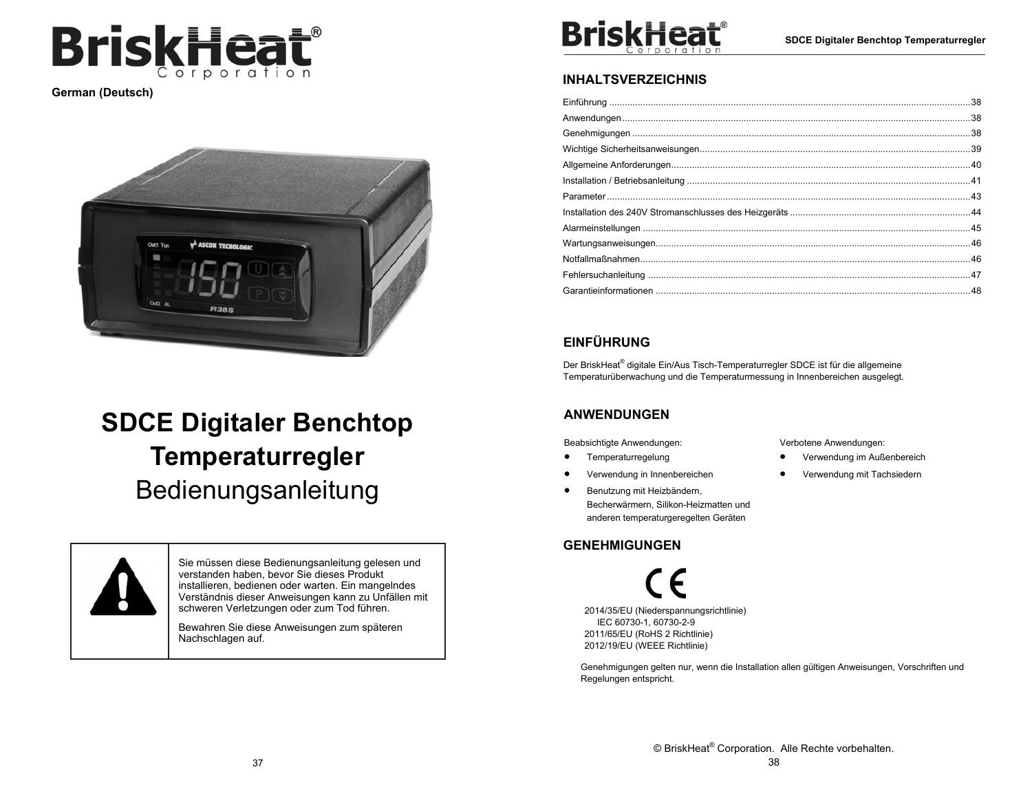

**German (Deutsch)** 



# **SDCE Digitaler Benchtop Temperaturregler**  Bedienungsanleitung



Sie müssen diese Bedienungsanleitung gelesen und verstanden haben, bevor Sie dieses Produkt installieren, bedienen oder warten. Ein mangelndes Verständnis dieser Anweisungen kann zu Unfällen mit schweren Verletzungen oder zum Tod führen.

Bewahren Sie diese Anweisungen zum späteren Nachschlagen auf.



## **INHALTSVERZEICHNIS**

## **EINFÜHRUNG**

Der BriskHeat® digitale Ein/Aus Tisch-Temperaturregler SDCE ist für die allgemeine Temperaturüberwachung und die Temperaturmessung in Innenbereichen ausgelegt.

## **ANWENDUNGEN**

Beabsichtigte Anwendungen:

 $\bullet$ Temperaturregelung

- $\bullet$ Verwendung in Innenbereichen
- $\bullet$  Benutzung mit Heizbändern, Becherwärmern, Silikon-Heizmatten und anderen temperaturgeregelten Geräten

## **GENEHMIGUNGEN**

2014/35/EU (Niederspannungsrichtlinie) IEC 60730-1, 60730-2-9 2011/65/EU (RoHS 2 Richtlinie) 2012/19/EU (WEEE Richtlinie)

Genehmigungen gelten nur, wenn die Installation allen gültigen Anweisungen, Vorschriften und Regelungen entspricht.

Verbotene Anwendungen:

- $\bullet$ Verwendung im Außenbereich
- $\bullet$ Verwendung mit Tachsiedern

© BriskHeat® Corporation. Alle Rechte vorbehalten. 38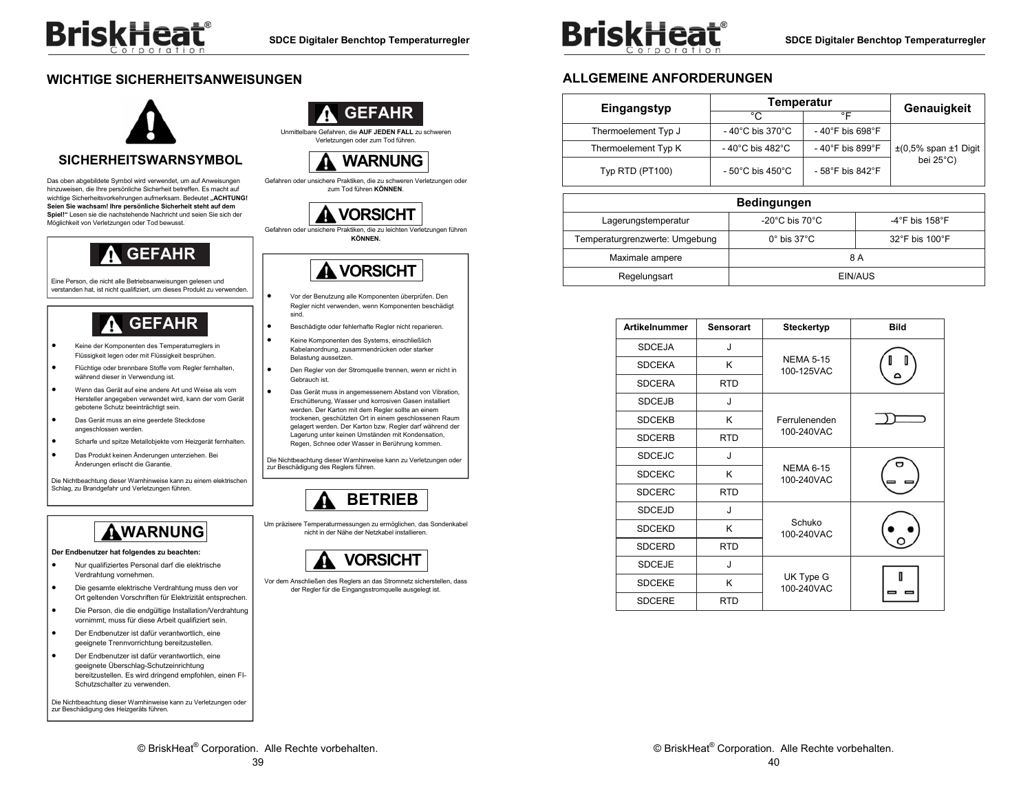## **WICHTIGE SICHERHEITSANWEISUNGEN**



### **SICHERHEITSWARNSYMBOL**

Das oben abgebildete Symbol wird verwendet, um auf Anweisungen hinzuweisen, die Ihre persönliche Sicherheit betreffen. Es macht auf wichtige Sicherheitsvorkehrungen aufmerksam. Bedeutet "ACHTUNG! **Seien Sie wachsam! Ihre persönliche Sicherheit steht auf dem Spiel!"** Lesen sie die nachstehende Nachricht und seien Sie sich der Möglichkeit von Verletzungen oder Tod bewusst.



Eine Person, die nicht alle Betriebsanweisungen gelesen und verstanden hat, ist nicht qualifiziert, um dieses Produkt zu verwenden.



- . Keine der Komponenten des Temperaturreglers in Flüssigkeit legen oder mit Flüssigkeit besprühen.
- . Flüchtige oder brennbare Stoffe vom Regler fernhalten, während dieser in Verwendung ist.
- . Wenn das Gerät auf eine andere Art und Weise als vom Hersteller angegeben verwendet wird, kann der vom Gerät gebotene Schutz beeinträchtigt sein.
- $\bullet$  Das Gerät muss an eine geerdete Steckdose angeschlossen werden.
- . Scharfe und spitze Metallobjekte vom Heizgerät fernhalten.
- $\bullet$  Das Produkt keinen Änderungen unterziehen. Bei Änderungen erlischt die Garantie.

Die Nichtbeachtung dieser Warnhinweise kann zu einem elektrischen Schlag, zu Brandgefahr und Verletzungen führen.

## **WARNUNG**

#### **Der Endbenutzer hat folgendes zu beachten:**

- . Nur qualifiziertes Personal darf die elektrische Verdrahtung vornehmen.
- $\bullet$  Die gesamte elektrische Verdrahtung muss den vor Ort geltenden Vorschriften für Elektrizität entsprechen.
- $\bullet$  Die Person, die die endgültige Installation/Verdrahtung vornimmt, muss für diese Arbeit qualifiziert sein.
- . Der Endbenutzer ist dafür verantwortlich, eine geeignete Trennvorrichtung bereitzustellen.
- $\bullet$  Der Endbenutzer ist dafür verantwortlich, eine geeignete Überschlag-Schutzeinrichtung bereitzustellen. Es wird dringend empfohlen, einen FI-Schutzschalter zu verwenden.

Die Nichtbeachtung dieser Warnhinweise kann zu Verletzungen oder zur Beschädigung des Heizgeräts führen.



Unmittelbare Gefahren, die **AUF JEDEN FALL** zu schweren Verletzungen oder zum Tod führen.



Gefahren oder unsichere Praktiken, die zu schweren Verletzungen oder zum Tod führen **KÖNNEN**.

# **VORSICHT**

Gefahren oder unsichere Praktiken, die zu leichten Verletzungen führen **KÖNNEN.**



- Vor der Benutzung alle Komponenten überprüfen. Den Regler nicht verwenden, wenn Komponenten beschädigt sind.
- $\bullet$ Beschädigte oder fehlerhafte Regler nicht reparieren.

.

.

- . Keine Komponenten des Systems, einschließlich Kabelanordnung, zusammendrücken oder starker Belastung aussetzen.
- . Den Regler von der Stromquelle trennen, wenn er nicht in Gebrauch ist.
	- Das Gerät muss in angemessenem Abstand von Vibration, Erschütterung, Wasser und korrosiven Gasen installiert werden. Der Karton mit dem Regler sollte an einem trockenen, geschützten Ort in einem geschlossenen Raum gelagert werden. Der Karton bzw. Regler darf während der Lagerung unter keinen Umständen mit Kondensation, Regen, Schnee oder Wasser in Berührung kommen.

Die Nichtbeachtung dieser Warnhinweise kann zu Verletzungen oder zur Beschädigung des Reglers führen.



Um präzisere Temperaturmessungen zu ermöglichen, das Sondenkabel nicht in der Nähe der Netzkabel installieren.



Vor dem Anschließen des Reglers an das Stromnetz sicherstellen, dass der Regler für die Eingangsstromquelle ausgelegt ist.



**SDCE Digitaler Benchtop Temperaturregler** 

## **ALLGEMEINE ANFORDERUNGEN**

| Eingangstyp         | Temperatur                           |                  | Genauigkeit                    |
|---------------------|--------------------------------------|------------------|--------------------------------|
|                     | °C                                   | °F               |                                |
| Thermoelement Typ J | $-40^{\circ}$ C bis 370 $^{\circ}$ C | - 40°F bis 698°F |                                |
| Thermoelement Typ K | $-40^{\circ}$ C bis 482 $^{\circ}$ C | - 40°F bis 899°F | $\pm$ (0,5% span $\pm$ 1 Digit |
| Typ RTD (PT100)     | $-50^{\circ}$ C bis 450 $^{\circ}$ C | - 58°F bis 842°F | bei 25°C)                      |

| <b>Bedingungen</b>                                                              |                                      |                                     |  |  |
|---------------------------------------------------------------------------------|--------------------------------------|-------------------------------------|--|--|
| Lagerungstemperatur                                                             | -20 $^{\circ}$ C bis 70 $^{\circ}$ C | $-4^{\circ}$ F bis 158 $^{\circ}$ F |  |  |
| Temperaturgrenzwerte: Umgebung<br>$0^\circ$ bis 37 $^\circ$ C<br>32°F bis 100°F |                                      |                                     |  |  |
| Maximale ampere                                                                 | 8 A                                  |                                     |  |  |
| Regelungsart                                                                    | EIN/AUS                              |                                     |  |  |

| <b>Artikelnummer</b> | <b>Sensorart</b> | <b>Steckertyp</b>              | <b>Bild</b> |
|----------------------|------------------|--------------------------------|-------------|
| <b>SDCEJA</b>        | J                |                                |             |
| <b>SDCEKA</b>        | Κ                | <b>NEMA 5-15</b><br>100-125VAC |             |
| <b>SDCERA</b>        | <b>RTD</b>       |                                |             |
| <b>SDCEJB</b>        | J                |                                |             |
| <b>SDCEKB</b>        | Κ                | Ferrulenenden                  |             |
| <b>SDCERB</b>        | <b>RTD</b>       | 100-240VAC                     |             |
| <b>SDCEJC</b>        | J                |                                |             |
| <b>SDCEKC</b>        | Κ                | <b>NEMA 6-15</b><br>100-240VAC |             |
| <b>SDCERC</b>        | <b>RTD</b>       |                                |             |
| <b>SDCEJD</b>        | J                |                                |             |
| <b>SDCEKD</b>        | Κ                | Schuko<br>100-240VAC           |             |
| <b>SDCERD</b>        | <b>RTD</b>       |                                |             |
| <b>SDCEJE</b>        | J                |                                |             |
| <b>SDCEKE</b>        | Κ                | UK Type G<br>100-240VAC        |             |
| <b>SDCERE</b>        | <b>RTD</b>       |                                |             |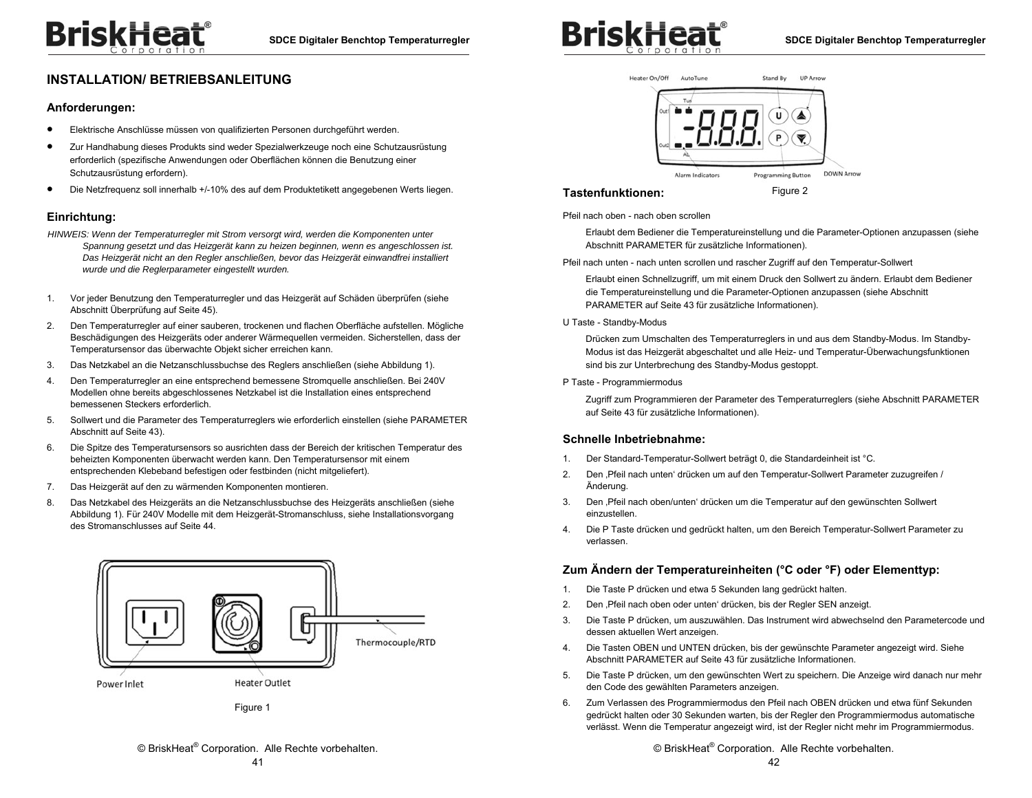## **INSTALLATION/ BETRIEBSANLEITUNG**

#### **Anforderungen:**

- $\bullet$ Elektrische Anschlüsse müssen von qualifizierten Personen durchgeführt werden.
- $\bullet$  Zur Handhabung dieses Produkts sind weder Spezialwerkzeuge noch eine Schutzausrüstung erforderlich (spezifische Anwendungen oder Oberflächen können die Benutzung einer Schutzausrüstung erfordern).
- $\bullet$ Die Netzfrequenz soll innerhalb +/-10% des auf dem Produktetikett angegebenen Werts liegen.

#### **Einrichtung:**

- *HINWEIS: Wenn der Temperaturregler mit Strom versorgt wird, werden die Komponenten unter Spannung gesetzt und das Heizgerät kann zu heizen beginnen, wenn es angeschlossen ist. Das Heizgerät nicht an den Regler anschließen, bevor das Heizgerät einwandfrei installiert wurde und die Reglerparameter eingestellt wurden.*
- 1. Vor jeder Benutzung den Temperaturregler und das Heizgerät auf Schäden überprüfen (siehe Abschnitt Überprüfung auf Seite 45).
- 2. Den Temperaturregler auf einer sauberen, trockenen und flachen Oberfläche aufstellen. Mögliche Beschädigungen des Heizgeräts oder anderer Wärmequellen vermeiden. Sicherstellen, dass der Temperatursensor das überwachte Objekt sicher erreichen kann.
- 3. Das Netzkabel an die Netzanschlussbuchse des Reglers anschließen (siehe Abbildung 1).
- 4. Den Temperaturregler an eine entsprechend bemessene Stromquelle anschließen. Bei 240V Modellen ohne bereits abgeschlossenes Netzkabel ist die Installation eines entsprechend bemessenen Steckers erforderlich.
- 5. Sollwert und die Parameter des Temperaturreglers wie erforderlich einstellen (siehe PARAMETER Abschnitt auf Seite 43).
- 6. Die Spitze des Temperatursensors so ausrichten dass der Bereich der kritischen Temperatur des beheizten Komponenten überwacht werden kann. Den Temperatursensor mit einem entsprechenden Klebeband befestigen oder festbinden (nicht mitgeliefert).
- 7. Das Heizgerät auf den zu wärmenden Komponenten montieren.
- 8. Das Netzkabel des Heizgeräts an die Netzanschlussbuchse des Heizgeräts anschließen (siehe Abbildung 1). Für 240V Modelle mit dem Heizgerät-Stromanschluss, siehe Installationsvorgang des Stromanschlusses auf Seite 44.



Figure 1





#### **Tastenfunktionen:**

Figure 2

Pfeil nach oben - nach oben scrollen

Erlaubt dem Bediener die Temperatureinstellung und die Parameter-Optionen anzupassen (siehe Abschnitt PARAMETER für zusätzliche Informationen).

Pfeil nach unten - nach unten scrollen und rascher Zugriff auf den Temperatur-Sollwert

Erlaubt einen Schnellzugriff, um mit einem Druck den Sollwert zu ändern. Erlaubt dem Bediener die Temperatureinstellung und die Parameter-Optionen anzupassen (siehe Abschnitt PARAMETER auf Seite 43 für zusätzliche Informationen).

#### U Taste - Standby-Modus

Drücken zum Umschalten des Temperaturreglers in und aus dem Standby-Modus. Im Standby-Modus ist das Heizgerät abgeschaltet und alle Heiz- und Temperatur-Überwachungsfunktionen sind bis zur Unterbrechung des Standby-Modus gestoppt.

#### P Taste - Programmiermodus

Zugriff zum Programmieren der Parameter des Temperaturreglers (siehe Abschnitt PARAMETER auf Seite 43 für zusätzliche Informationen).

#### **Schnelle Inbetriebnahme:**

- 1. Der Standard-Temperatur-Sollwert beträgt 0, die Standardeinheit ist °C.
- 2. Den ,Pfeil nach unten' drücken um auf den Temperatur-Sollwert Parameter zuzugreifen / Änderung.
- 3. Den 'Pfeil nach oben/unten' drücken um die Temperatur auf den gewünschten Sollwert einzustellen.
- 4. Die P Taste drücken und gedrückt halten, um den Bereich Temperatur-Sollwert Parameter zu verlassen.

#### **Zum Ändern der Temperatureinheiten (°C oder °F) oder Elementtyp:**

- 1. Die Taste P drücken und etwa 5 Sekunden lang gedrückt halten.
- 2. Den ,Pfeil nach oben oder unten' drücken, bis der Regler SEN anzeigt.
- 3. Die Taste P drücken, um auszuwählen. Das Instrument wird abwechselnd den Parametercode und dessen aktuellen Wert anzeigen.
- 4. Die Tasten OBEN und UNTEN drücken, bis der gewünschte Parameter angezeigt wird. Siehe Abschnitt PARAMETER auf Seite 43 für zusätzliche Informationen.
- 5. Die Taste P drücken, um den gewünschten Wert zu speichern. Die Anzeige wird danach nur mehr den Code des gewählten Parameters anzeigen.
- 6. Zum Verlassen des Programmiermodus den Pfeil nach OBEN drücken und etwa fünf Sekunden gedrückt halten oder 30 Sekunden warten, bis der Regler den Programmiermodus automatische verlässt. Wenn die Temperatur angezeigt wird, ist der Regler nicht mehr im Programmiermodus.

© BriskHeat® Corporation. Alle Rechte vorbehalten.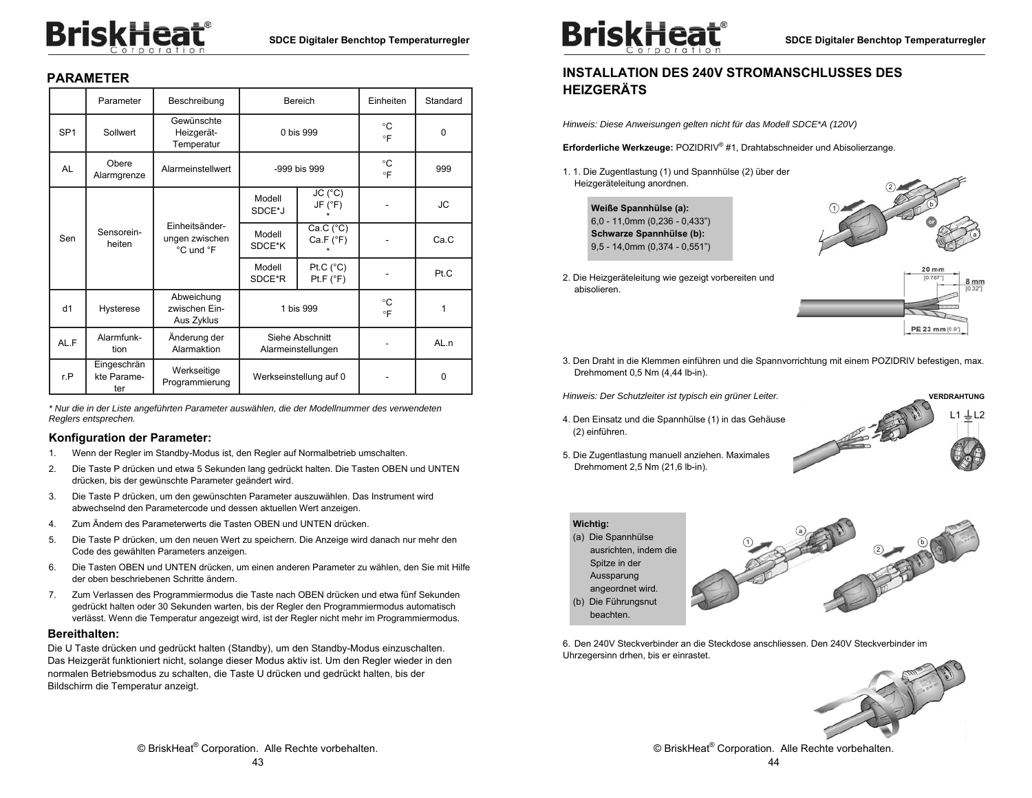# **BriskHeat**®

## **PARAMETER**

|                 | Parameter                         | Beschreibung                                  |                  | Bereich                               | Einheiten       | Standard |
|-----------------|-----------------------------------|-----------------------------------------------|------------------|---------------------------------------|-----------------|----------|
| SP <sub>1</sub> | Sollwert                          | Gewünschte<br>Heizgerät-<br>Temperatur        |                  | 0 bis 999                             | °C<br>$\circ$ F | $\Omega$ |
| AL              | Obere<br>Alarmgrenze              | Alarmeinstellwert                             |                  | -999 bis 999                          | °C<br>$\circ$ F | 999      |
|                 |                                   |                                               | Modell<br>SDCE*J | JC (°C)<br>JF (°F)                    |                 | JС       |
| Sen             | Sensorein-<br>heiten              | Finheitsänder-<br>ungen zwischen<br>°C und °F | Modell<br>SDCE*K | Ca.C (°C)<br>Ca.F (°F)                |                 | Ca.C     |
|                 |                                   |                                               | Modell<br>SDCE*R | Pt.C $(^{\circ}C)$<br>Pt.F (°F)       |                 | Pt.C     |
| d1              | Hysterese                         | Abweichung<br>zwischen Ein-<br>Aus Zyklus     | 1 bis 999        |                                       | °C<br>$\circ$ F | 1        |
| AL.F            | Alarmfunk-<br>tion                | Änderung der<br>Alarmaktion                   |                  | Siehe Abschnitt<br>Alarmeinstellungen |                 | AL.n     |
| r.P             | Eingeschrän<br>kte Parame-<br>ter | Werkseitige<br>Programmierung                 |                  | Werkseinstellung auf 0                |                 | $\Omega$ |

*\* Nur die in der Liste angeführten Parameter auswählen, die der Modellnummer des verwendeten Reglers entsprechen.* 

#### **Konfiguration der Parameter:**

- 1. Wenn der Regler im Standby-Modus ist, den Regler auf Normalbetrieb umschalten.
- 2. Die Taste P drücken und etwa 5 Sekunden lang gedrückt halten. Die Tasten OBEN und UNTEN drücken, bis der gewünschte Parameter geändert wird.
- 3. Die Taste P drücken, um den gewünschten Parameter auszuwählen. Das Instrument wird abwechselnd den Parametercode und dessen aktuellen Wert anzeigen.
- 4. Zum Ändern des Parameterwerts die Tasten OBEN und UNTEN drücken.
- 5. Die Taste P drücken, um den neuen Wert zu speichern. Die Anzeige wird danach nur mehr den Code des gewählten Parameters anzeigen.
- 6. Die Tasten OBEN und UNTEN drücken, um einen anderen Parameter zu wählen, den Sie mit Hilfe der oben beschriebenen Schritte ändern.
- 7. Zum Verlassen des Programmiermodus die Taste nach OBEN drücken und etwa fünf Sekunden gedrückt halten oder 30 Sekunden warten, bis der Regler den Programmiermodus automatisch verlässt. Wenn die Temperatur angezeigt wird, ist der Regler nicht mehr im Programmiermodus.

#### **Bereithalten:**

Die U Taste drücken und gedrückt halten (Standby), um den Standby-Modus einzuschalten. Das Heizgerät funktioniert nicht, solange dieser Modus aktiv ist. Um den Regler wieder in den normalen Betriebsmodus zu schalten, die Taste U drücken und gedrückt halten, bis der Bildschirm die Temperatur anzeigt.



## **INSTALLATION DES 240V STROMANSCHLUSSES DES HEIZGERÄTS**

*Hinweis: Diese Anweisungen gelten nicht für das Modell SDCE\*A (120V)* 

**Erforderliche Werkzeuge:** POZIDRIV® #1, Drahtabschneider und Abisolierzange.

1. 1. Die Zugentlastung (1) und Spannhülse (2) über der Heizgeräteleitung anordnen.





2. Die Heizgeräteleitung wie gezeigt vorbereiten und abisolieren.

PE 23 mm [0.9]

3. Den Draht in die Klemmen einführen und die Spannvorrichtung mit einem POZIDRIV befestigen, max. Drehmoment 0,5 Nm (4,44 lb-in).

*Hinweis: Der Schutzleiter ist typisch ein grüner Leiter.* 

4. Den Einsatz und die Spannhülse (1) in das Gehäuse (2) einführen.

5. Die Zugentlastung manuell anziehen. Maximales

Drehmoment 2,5 Nm (21,6 lb-in).



**Wichtig:**  (a) Die Spannhülse ausrichten, indem die Spitze in der Aussparung 1 2 a

angeordnet wird. (b) Die Führungsnut beachten.



6. Den 240V Steckverbinder an die Steckdose anschliessen. Den 240V Steckverbinder im Uhrzegersinn drhen, bis er einrastet.



© BriskHeat® Corporation. Alle Rechte vorbehalten.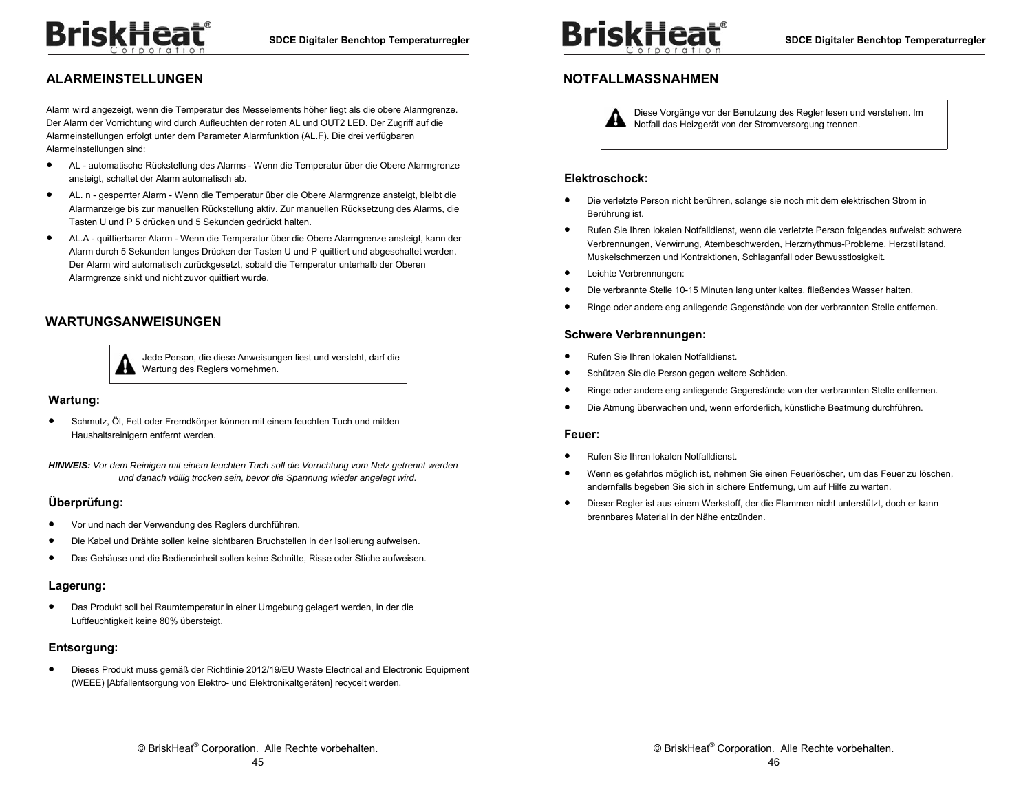## **ALARMEINSTELLUNGEN**

Alarm wird angezeigt, wenn die Temperatur des Messelements höher liegt als die obere Alarmgrenze. Der Alarm der Vorrichtung wird durch Aufleuchten der roten AL und OUT2 LED. Der Zugriff auf die Alarmeinstellungen erfolgt unter dem Parameter Alarmfunktion (AL.F). Die drei verfügbaren Alarmeinstellungen sind:

- $\bullet$  AL - automatische Rückstellung des Alarms - Wenn die Temperatur über die Obere Alarmgrenze ansteigt, schaltet der Alarm automatisch ab.
- $\bullet$  AL. n - gesperrter Alarm - Wenn die Temperatur über die Obere Alarmgrenze ansteigt, bleibt die Alarmanzeige bis zur manuellen Rückstellung aktiv. Zur manuellen Rücksetzung des Alarms, die Tasten U und P 5 drücken und 5 Sekunden gedrückt halten.
- $\bullet$  AL.A - quittierbarer Alarm - Wenn die Temperatur über die Obere Alarmgrenze ansteigt, kann der Alarm durch 5 Sekunden langes Drücken der Tasten U und P quittiert und abgeschaltet werden. Der Alarm wird automatisch zurückgesetzt, sobald die Temperatur unterhalb der Oberen Alarmgrenze sinkt und nicht zuvor quittiert wurde.

## **WARTUNGSANWEISUNGEN**



Jede Person, die diese Anweisungen liest und versteht, darf die Wartung des Reglers vornehmen.

#### **Wartung:**

 $\bullet$  Schmutz, Öl, Fett oder Fremdkörper können mit einem feuchten Tuch und milden Haushaltsreinigern entfernt werden.

*HINWEIS: Vor dem Reinigen mit einem feuchten Tuch soll die Vorrichtung vom Netz getrennt werden und danach völlig trocken sein, bevor die Spannung wieder angelegt wird.* 

#### **Überprüfung:**

- $\bullet$ Vor und nach der Verwendung des Reglers durchführen.
- $\bullet$ Die Kabel und Drähte sollen keine sichtbaren Bruchstellen in der Isolierung aufweisen.
- $\bullet$ Das Gehäuse und die Bedieneinheit sollen keine Schnitte, Risse oder Stiche aufweisen.

### **Lagerung:**

 $\bullet$  Das Produkt soll bei Raumtemperatur in einer Umgebung gelagert werden, in der die Luftfeuchtigkeit keine 80% übersteigt.

### **Entsorgung:**

 $\bullet$  Dieses Produkt muss gemäß der Richtlinie 2012/19/EU Waste Electrical and Electronic Equipment (WEEE) [Abfallentsorgung von Elektro- und Elektronikaltgeräten] recycelt werden.



## **NOTFALLMASSNAHMEN**

Diese Vorgänge vor der Benutzung des Regler lesen und verstehen. Im Æħ Notfall das Heizgerät von der Stromversorgung trennen.

#### **Elektroschock:**

- ٠ Die verletzte Person nicht berühren, solange sie noch mit dem elektrischen Strom in Berührung ist.
- $\bullet$  Rufen Sie Ihren lokalen Notfalldienst, wenn die verletzte Person folgendes aufweist: schwere Verbrennungen, Verwirrung, Atembeschwerden, Herzrhythmus-Probleme, Herzstillstand, Muskelschmerzen und Kontraktionen, Schlaganfall oder Bewusstlosigkeit.
- $\bullet$ Leichte Verbrennungen:
- $\bullet$ Die verbrannte Stelle 10-15 Minuten lang unter kaltes, fließendes Wasser halten.
- $\bullet$ Ringe oder andere eng anliegende Gegenstände von der verbrannten Stelle entfernen.

#### **Schwere Verbrennungen:**

- $\bullet$ Rufen Sie Ihren lokalen Notfalldienst.
- $\bullet$ Schützen Sie die Person gegen weitere Schäden.
- $\bullet$ Ringe oder andere eng anliegende Gegenstände von der verbrannten Stelle entfernen.
- $\bullet$ Die Atmung überwachen und, wenn erforderlich, künstliche Beatmung durchführen.

#### **Feuer:**

- $\bullet$ Rufen Sie Ihren lokalen Notfalldienst.
- $\bullet$  Wenn es gefahrlos möglich ist, nehmen Sie einen Feuerlöscher, um das Feuer zu löschen, andernfalls begeben Sie sich in sichere Entfernung, um auf Hilfe zu warten.
- $\bullet$  Dieser Regler ist aus einem Werkstoff, der die Flammen nicht unterstützt, doch er kann brennbares Material in der Nähe entzünden.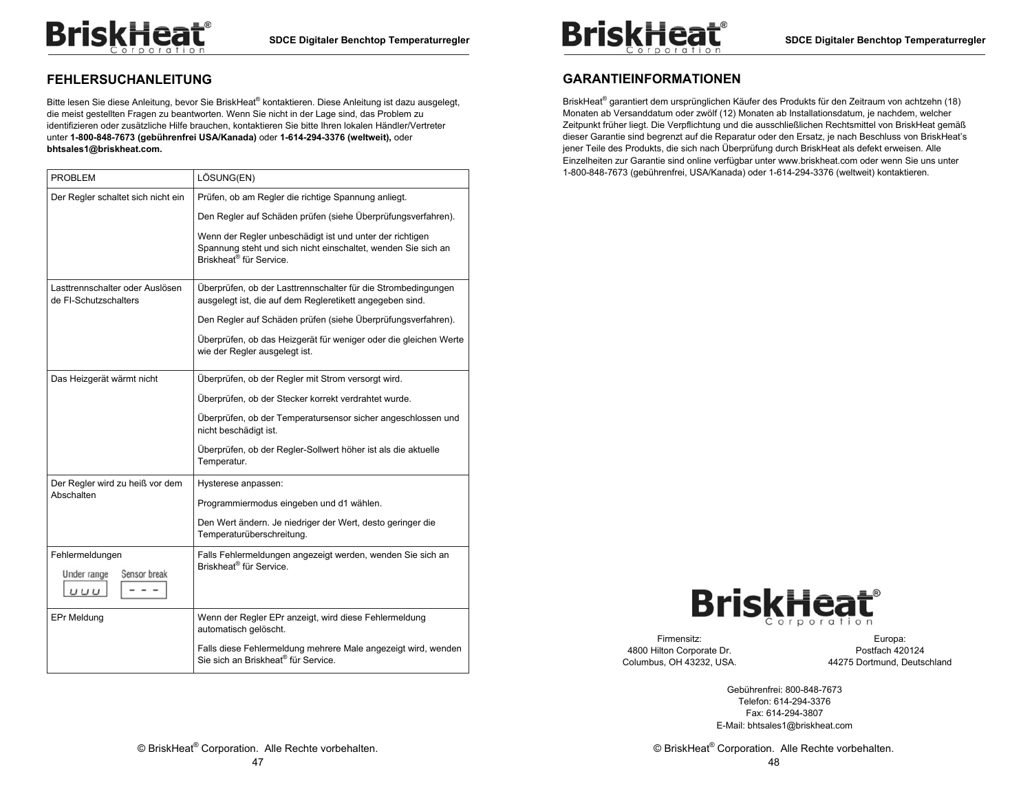## **FEHLERSUCHANLEITUNG**

Bitte lesen Sie diese Anleitung, bevor Sie BriskHeat® kontaktieren. Diese Anleitung ist dazu ausgelegt, die meist gestellten Fragen zu beantworten. Wenn Sie nicht in der Lage sind, das Problem zu identifizieren oder zusätzliche Hilfe brauchen, kontaktieren Sie bitte Ihren lokalen Händler/Vertreter unter **1-800-848-7673 (gebührenfrei USA/Kanada)** oder **1-614-294-3376 (weltweit),** oder **bhtsales1@briskheat.com.** 

| <b>PROBLEM</b>                                           | LÖSUNG(EN)                                                                                                                                                       |
|----------------------------------------------------------|------------------------------------------------------------------------------------------------------------------------------------------------------------------|
| Der Regler schaltet sich nicht ein                       | Prüfen, ob am Regler die richtige Spannung anliegt.                                                                                                              |
|                                                          | Den Regler auf Schäden prüfen (siehe Überprüfungsverfahren).                                                                                                     |
|                                                          | Wenn der Regler unbeschädigt ist und unter der richtigen<br>Spannung steht und sich nicht einschaltet, wenden Sie sich an<br>Briskheat <sup>®</sup> für Service. |
| Lasttrennschalter oder Auslösen<br>de FI-Schutzschalters | Überprüfen, ob der Lasttrennschalter für die Strombedingungen<br>ausgelegt ist, die auf dem Regleretikett angegeben sind.                                        |
|                                                          | Den Regler auf Schäden prüfen (siehe Überprüfungsverfahren).                                                                                                     |
|                                                          | Überprüfen, ob das Heizgerät für weniger oder die gleichen Werte<br>wie der Regler ausgelegt ist.                                                                |
| Das Heizgerät wärmt nicht                                | Überprüfen, ob der Regler mit Strom versorgt wird.                                                                                                               |
|                                                          | Überprüfen, ob der Stecker korrekt verdrahtet wurde.                                                                                                             |
|                                                          | Überprüfen, ob der Temperatursensor sicher angeschlossen und<br>nicht beschädigt ist.                                                                            |
|                                                          | Überprüfen, ob der Regler-Sollwert höher ist als die aktuelle<br>Temperatur.                                                                                     |
| Der Regler wird zu heiß vor dem                          | Hysterese anpassen:                                                                                                                                              |
| Abschalten                                               | Programmiermodus eingeben und d1 wählen.                                                                                                                         |
|                                                          | Den Wert ändern. Je niedriger der Wert, desto geringer die<br>Temperaturüberschreitung.                                                                          |
| Fehlermeldungen<br>Under range<br>Sensor break<br>UUU    | Falls Fehlermeldungen angezeigt werden, wenden Sie sich an<br>Briskheat <sup>®</sup> für Service.                                                                |
| <b>EPr Meldung</b>                                       | Wenn der Regler EPr anzeigt, wird diese Fehlermeldung<br>automatisch gelöscht.                                                                                   |
|                                                          | Falls diese Fehlermeldung mehrere Male angezeigt wird, wenden<br>Sie sich an Briskheat® für Service.                                                             |



## **GARANTIEINFORMATIONEN**

BriskHeat® garantiert dem ursprünglichen Käufer des Produkts für den Zeitraum von achtzehn (18) Monaten ab Versanddatum oder zwölf (12) Monaten ab Installationsdatum, je nachdem, welcher Zeitpunkt früher liegt. Die Verpflichtung und die ausschließlichen Rechtsmittel von BriskHeat gemäß dieser Garantie sind begrenzt auf die Reparatur oder den Ersatz, je nach Beschluss von BriskHeat's jener Teile des Produkts, die sich nach Überprüfung durch BriskHeat als defekt erweisen. Alle Einzelheiten zur Garantie sind online verfügbar unter www.briskheat.com oder wenn Sie uns unter 1-800-848-7673 (gebührenfrei, USA/Kanada) oder 1-614-294-3376 (weltweit) kontaktieren.



Firmensitz: 4800 Hilton Corporate Dr. Columbus, OH 43232, USA.

Europa: Postfach 420124 44275 Dortmund, Deutschland

Gebührenfrei: 800-848-7673 Telefon: 614-294-3376 Fax: 614-294-3807 E-Mail: bhtsales1@briskheat.com

© BriskHeat® Corporation. Alle Rechte vorbehalten. 48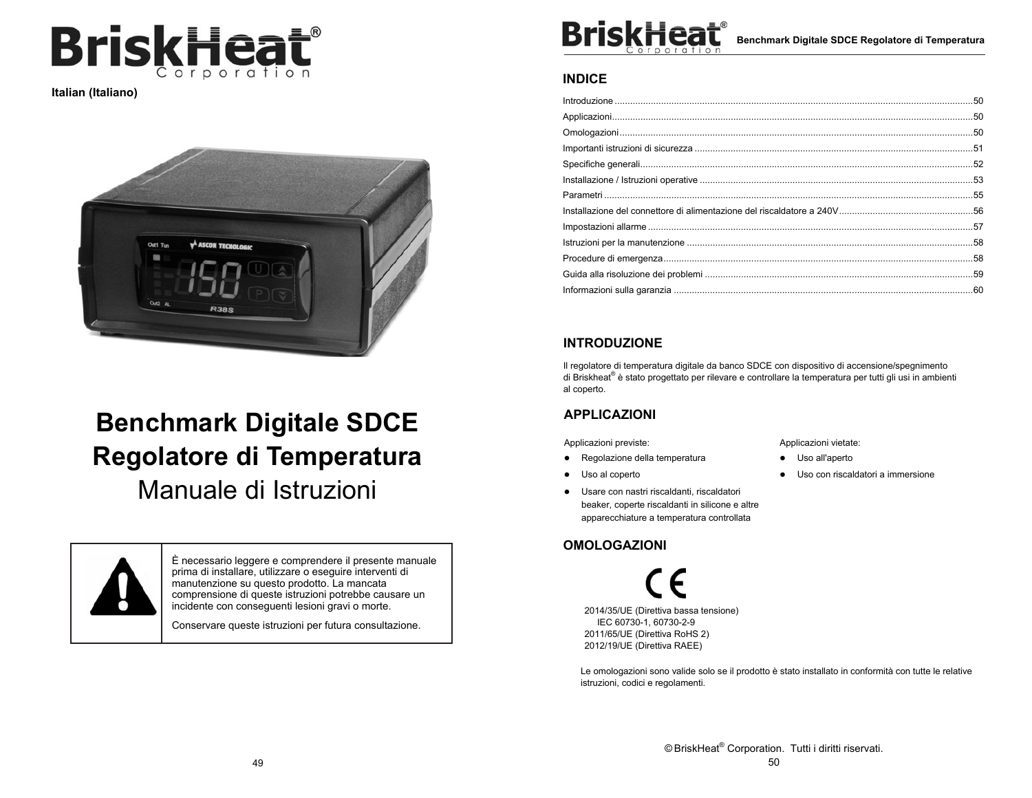

**Italian (Italiano)** 



# **Benchmark Digitale SDCE Regolatore di Temperatura**

Manuale di Istruzioni



È necessario leggere e comprendere il presente manuale prima di installare, utilizzare o eseguire interventi di manutenzione su questo prodotto. La mancata comprensione di queste istruzioni potrebbe causare un incidente con conseguenti lesioni gravi o morte.

Conservare queste istruzioni per futura consultazione.



**Benchmark Digitale SDCE Regolatore di Temperatura** 

### **INDICE**

## **INTRODUZIONE**

Il regolatore di temperatura digitale da banco SDCE con dispositivo di accensione/spegnimento di Briskheat® è stato progettato per rilevare e controllare la temperatura per tutti gli usi in ambienti al coperto.

## **APPLICAZIONI**

Applicazioni previste:

- Regolazione della temperatura
- Uso al coperto
- Usare con nastri riscaldanti, riscaldatori beaker, coperte riscaldanti in silicone e altre apparecchiature a temperatura controllata

## **OMOLOGAZIONI**

2014/35/UE (Direttiva bassa tensione) IEC 60730-1, 60730-2-9 2011/65/UE (Direttiva RoHS 2) 2012/19/UE (Direttiva RAEE)

Le omologazioni sono valide solo se il prodotto è stato installato in conformità con tutte le relative istruzioni, codici e regolamenti.

Applicazioni vietate:

- Uso all'aperto
- Uso con riscaldatori a immersione

© BriskHeat® Corporation. Tutti i diritti riservati. 50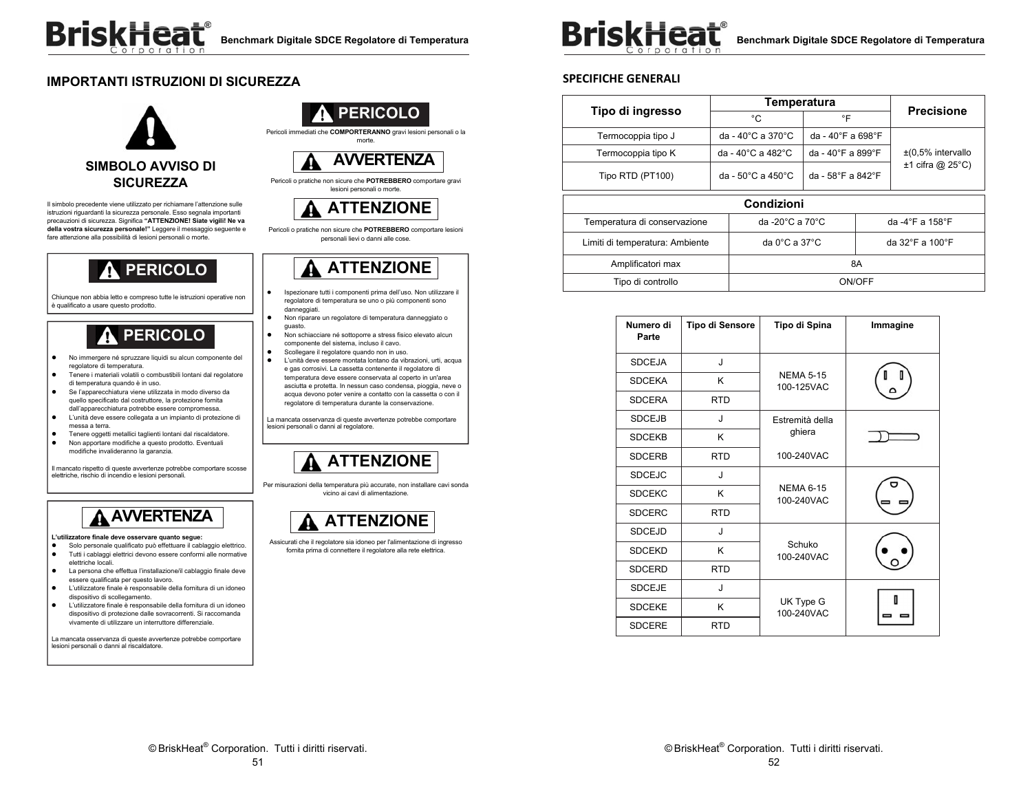## **IMPORTANTI ISTRUZIONI DI SICUREZZA**



Il simbolo precedente viene utilizzato per richiamare l'attenzione sulle istruzioni riguardanti la sicurezza personale. Esso segnala importanti precauzioni di sicurezza. Significa **"ATTENZIONE! Siate vigili! Ne va della vostra sicurezza personale!"** Leggere il messaggio seguente e fare attenzione alla possibilità di lesioni personali o morte.

## **PERICOLO**

Chiunque non abbia letto e compreso tutte le istruzioni operative non è qualificato a usare questo prodotto.

# **PERICOLO**

- No immergere né spruzzare liquidi su alcun componente del regolatore di temperatura.
- Tenere i materiali volatili o combustibili lontani dal regolatore di temperatura quando è in uso.
- Se l'apparecchiatura viene utilizzata in modo diverso da quello specificato dal costruttore, la protezione fornita dall'apparecchiatura potrebbe essere compromessa.
- L'unità deve essere collegata a un impianto di protezione di messa a terra.
- Tenere oggetti metallici taglienti lontani dal riscaldatore. Non apportare modifiche a questo prodotto. Eventuali modifiche invalideranno la garanzia.

Il mancato rispetto di queste avvertenze potrebbe comportare scosse elettriche, rischio di incendio e lesioni personali.

# **AVVERTENZA**

**L'utilizzatore finale deve osservare quanto segue:** 

- Solo personale qualificato può effettuare il cablaggio elettrico. Tutti i cablaggi elettrici devono essere conformi alle normative
- elettriche locali. La persona che effettua l'installazione/il cablaggio finale deve
- essere qualificata per questo lavoro. L'utilizzatore finale è responsabile della fornitura di un idoneo dispositivo di scollegamento.
- L'utilizzatore finale è responsabile della fornitura di un idoneo dispositivo di protezione dalle sovracorrenti. Si raccomanda vivamente di utilizzare un interruttore differenziale.

La mancata osservanza di queste avvertenze potrebbe comportare lesioni personali o danni al riscaldatore.



Pericoli immediati che **COMPORTERANNO** gravi lesioni personali o la morte.



#### Pericoli o pratiche non sicure che **POTREBBERO** comportare gravi lesioni personali o morte.

# **ATTENZIONE**

Pericoli o pratiche non sicure che **POTREBBERO** comportare lesioni personali lievi o danni alle cose.

## **ATTENZIONE**

- ۰ Ispezionare tutti i componenti prima dell'uso. Non utilizzare il regolatore di temperatura se uno o più componenti sono danneggiati.
- Non riparare un regolatore di temperatura danneggiato o guasto.
- Non schiacciare né sottoporre a stress fisico elevato alcun componente del sistema, incluso il cavo.
- Scollegare il regolatore quando non in uso. L'unità deve essere montata lontano da vibrazioni, urti, acqua e gas corrosivi. La cassetta contenente il regolatore di temperatura deve essere conservata al coperto in un'area asciutta e protetta. In nessun caso condensa, pioggia, neve o acqua devono poter venire a contatto con la cassetta o con il regolatore di temperatura durante la conservazione.

La mancata osservanza di queste avvertenze potrebbe comportare lesioni personali o danni al regolatore.

## **ATTENZIONE**

Per misurazioni della temperatura più accurate, non installare cavi sonda vicino ai cavi di alimentazione.

# **ATTENZIONE**

Assicurati che il regolatore sia idoneo per l'alimentazione di ingresso fornita prima di connettere il regolatore alla rete elettrica.



### **SPECIFICHE GENERALI**

| Tipo di ingresso                |  | Temperatura                             | <b>Precisione</b> |                 |                                              |
|---------------------------------|--|-----------------------------------------|-------------------|-----------------|----------------------------------------------|
|                                 |  | °C                                      | °F                |                 |                                              |
| Termocoppia tipo J              |  | da - 40 $^{\circ}$ C a 370 $^{\circ}$ C | da - 40°F a 698°F |                 |                                              |
| Termocoppia tipo K              |  | da - 40 $^{\circ}$ C a 482 $^{\circ}$ C | da - 40°F a 899°F |                 | $\pm$ (0,5% intervallo<br>$±1$ cifra @ 25°C) |
| Tipo RTD (PT100)                |  | da - $50^{\circ}$ C a 450 $^{\circ}$ C  | da - 58°F a 842°F |                 |                                              |
| Condizioni                      |  |                                         |                   |                 |                                              |
| Temperatura di conservazione    |  | da -20 $^{\circ}$ C a 70 $^{\circ}$ C   |                   | da -4°F a 158°F |                                              |
| Limiti di temperatura: Ambiente |  | da $0^{\circ}$ C a 37 $^{\circ}$ C      |                   | da 32°F a 100°F |                                              |
| Amplificatori max               |  | 8A                                      |                   |                 |                                              |
| Tipo di controllo               |  | ON/OFF                                  |                   |                 |                                              |

| Numero di<br>Parte | <b>Tipo di Sensore</b> | Tipo di Spina                  | Immagine |  |
|--------------------|------------------------|--------------------------------|----------|--|
| <b>SDCEJA</b>      | J                      |                                |          |  |
| <b>SDCEKA</b>      | K                      | <b>NEMA 5-15</b><br>100-125VAC |          |  |
| <b>SDCERA</b>      | <b>RTD</b>             |                                |          |  |
| <b>SDCEJB</b>      | J                      | Estremità della                |          |  |
| <b>SDCEKB</b>      | K                      | ghiera                         |          |  |
| <b>SDCERB</b>      | <b>RTD</b>             | 100-240VAC                     |          |  |
| <b>SDCEJC</b>      | J                      |                                |          |  |
| <b>SDCEKC</b>      | K                      | <b>NEMA 6-15</b><br>100-240VAC |          |  |
| <b>SDCERC</b>      | <b>RTD</b>             |                                |          |  |
| <b>SDCEJD</b>      | J                      |                                |          |  |
| <b>SDCEKD</b>      | K                      | Schuko<br>100-240VAC           |          |  |
| <b>SDCERD</b>      | <b>RTD</b>             |                                |          |  |
| <b>SDCEJE</b>      | J                      |                                |          |  |
| <b>SDCEKE</b>      | K                      | UK Type G<br>100-240VAC        | П        |  |
| <b>SDCERE</b>      | <b>RTD</b>             |                                |          |  |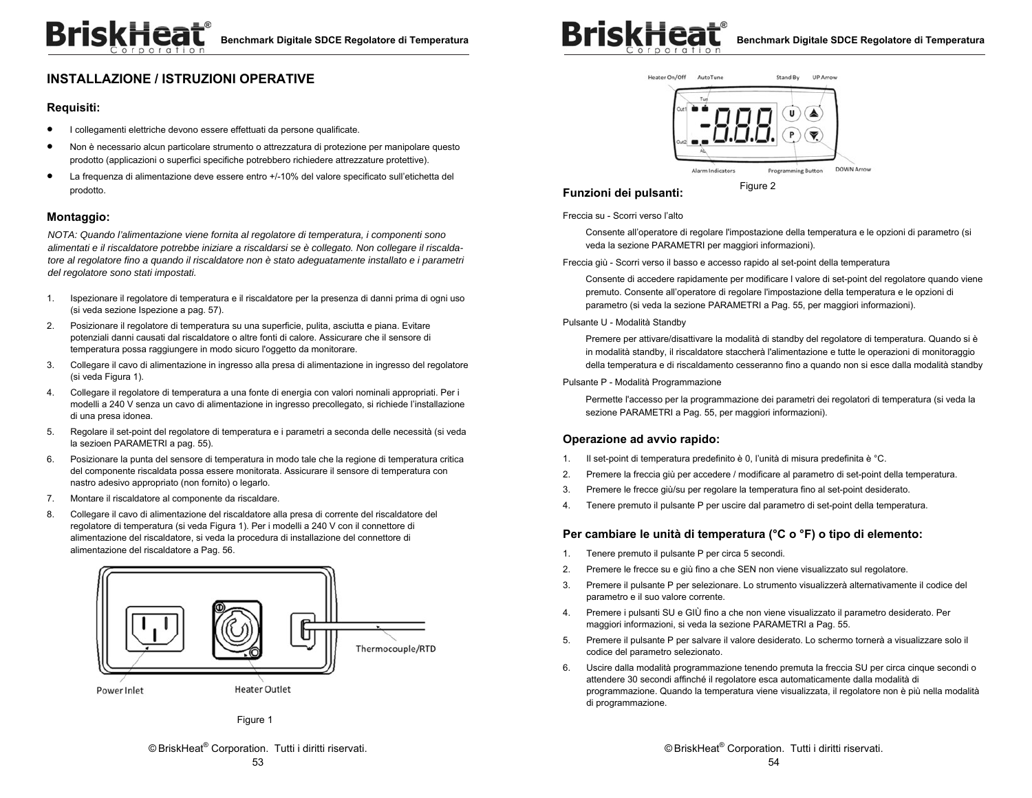## **INSTALLAZIONE / ISTRUZIONI OPERATIVE**

#### **Requisiti:**

- $\bullet$ I collegamenti elettriche devono essere effettuati da persone qualificate.
- $\bullet$  Non è necessario alcun particolare strumento o attrezzatura di protezione per manipolare questo prodotto (applicazioni o superfici specifiche potrebbero richiedere attrezzature protettive).
- $\bullet$  La frequenza di alimentazione deve essere entro +/-10% del valore specificato sull'etichetta del prodotto.

#### **Montaggio:**

*NOTA: Quando l'alimentazione viene fornita al regolatore di temperatura, i componenti sono alimentati e il riscaldatore potrebbe iniziare a riscaldarsi se è collegato. Non collegare il riscaldatore al regolatore fino a quando il riscaldatore non è stato adeguatamente installato e i parametri del regolatore sono stati impostati.* 

- 1. Ispezionare il regolatore di temperatura e il riscaldatore per la presenza di danni prima di ogni uso (si veda sezione Ispezione a pag. 57).
- 2. Posizionare il regolatore di temperatura su una superficie, pulita, asciutta e piana. Evitare potenziali danni causati dal riscaldatore o altre fonti di calore. Assicurare che il sensore di temperatura possa raggiungere in modo sicuro l'oggetto da monitorare.
- 3. Collegare il cavo di alimentazione in ingresso alla presa di alimentazione in ingresso del regolatore (si veda Figura 1).
- 4. Collegare il regolatore di temperatura a una fonte di energia con valori nominali appropriati. Per i modelli a 240 V senza un cavo di alimentazione in ingresso precollegato, si richiede l'installazione di una presa idonea.
- 5. Regolare il set-point del regolatore di temperatura e i parametri a seconda delle necessità (si veda la sezioen PARAMETRI a pag. 55).
- 6. Posizionare la punta del sensore di temperatura in modo tale che la regione di temperatura critica del componente riscaldata possa essere monitorata. Assicurare il sensore di temperatura con nastro adesivo appropriato (non fornito) o legarlo.
- 7. Montare il riscaldatore al componente da riscaldare.
- 8. Collegare il cavo di alimentazione del riscaldatore alla presa di corrente del riscaldatore del regolatore di temperatura (si veda Figura 1). Per i modelli a 240 V con il connettore di alimentazione del riscaldatore, si veda la procedura di installazione del connettore di alimentazione del riscaldatore a Pag. 56.



Figure 1





#### **Funzioni dei pulsanti:**

Figure 2

Freccia su - Scorri verso l'alto

Consente all'operatore di regolare l'impostazione della temperatura e le opzioni di parametro (si veda la sezione PARAMETRI per maggiori informazioni).

Freccia giù - Scorri verso il basso e accesso rapido al set-point della temperatura

Consente di accedere rapidamente per modificare l valore di set-point del regolatore quando viene premuto. Consente all'operatore di regolare l'impostazione della temperatura e le opzioni di parametro (si veda la sezione PARAMETRI a Pag. 55, per maggiori informazioni).

Pulsante U - Modalità Standby

Premere per attivare/disattivare la modalità di standby del regolatore di temperatura. Quando si è in modalità standby, il riscaldatore staccherà l'alimentazione e tutte le operazioni di monitoraggio della temperatura e di riscaldamento cesseranno fino a quando non si esce dalla modalità standby

Pulsante P - Modalità Programmazione

Permette l'accesso per la programmazione dei parametri dei regolatori di temperatura (si veda la sezione PARAMETRI a Pag. 55, per maggiori informazioni).

#### **Operazione ad avvio rapido:**

- 1. Il set-point di temperatura predefinito è 0, l'unità di misura predefinita è °C.
- 2. Premere la freccia giù per accedere / modificare al parametro di set-point della temperatura.
- 3. Premere le frecce giù/su per regolare la temperatura fino al set-point desiderato.
- 4. Tenere premuto il pulsante P per uscire dal parametro di set-point della temperatura.

#### **Per cambiare le unità di temperatura (°C o °F) o tipo di elemento:**

- 1. Tenere premuto il pulsante P per circa 5 secondi.
- 2. Premere le frecce su e giù fino a che SEN non viene visualizzato sul regolatore.
- 3. Premere il pulsante P per selezionare. Lo strumento visualizzerà alternativamente il codice del parametro e il suo valore corrente.
- 4. Premere i pulsanti SU e GIÙ fino a che non viene visualizzato il parametro desiderato. Per maggiori informazioni, si veda la sezione PARAMETRI a Pag. 55.
- 5. Premere il pulsante P per salvare il valore desiderato. Lo schermo tornerà a visualizzare solo il codice del parametro selezionato.
- 6. Uscire dalla modalità programmazione tenendo premuta la freccia SU per circa cinque secondi o attendere 30 secondi affinché il regolatore esca automaticamente dalla modalità di programmazione. Quando la temperatura viene visualizzata, il regolatore non è più nella modalità di programmazione.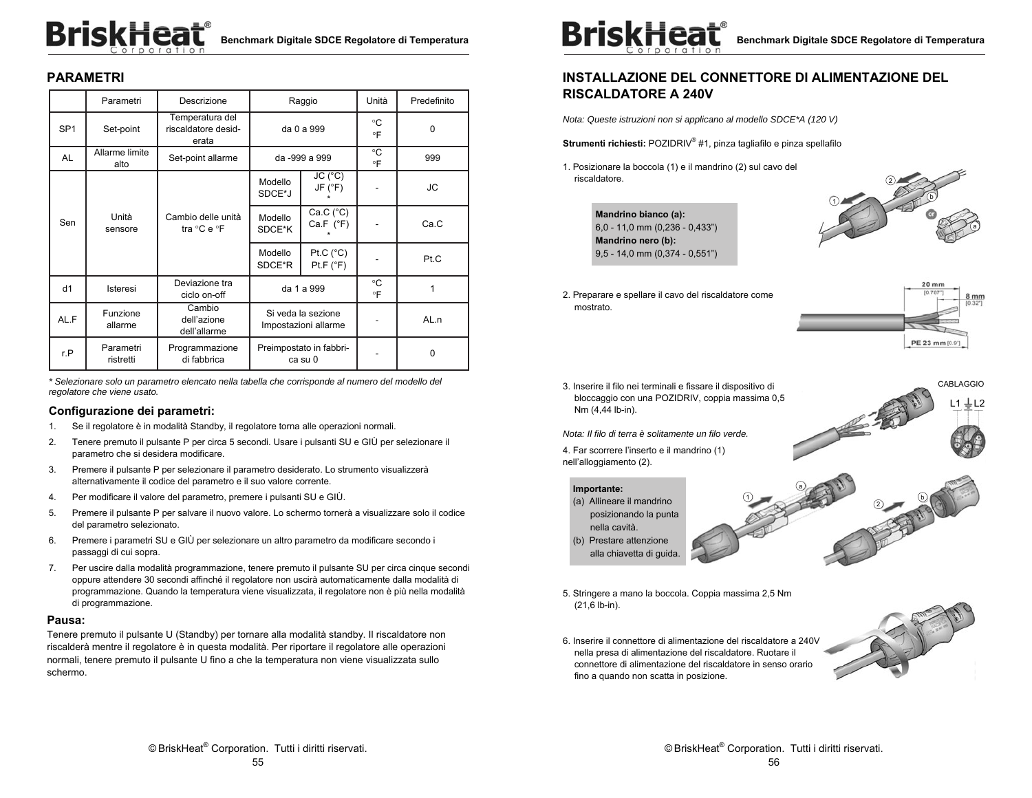# **BriskHeat** Benchmark Digitale SDCE Regolatore di Temperatura

## **PARAMETRI**

|                         | Parametri                         | Descrizione                                     | Raggio                                     |                                    | Unità                    | Predefinito |
|-------------------------|-----------------------------------|-------------------------------------------------|--------------------------------------------|------------------------------------|--------------------------|-------------|
| SP <sub>1</sub>         | Set-point                         | Temperatura del<br>riscaldatore desid-<br>erata | da 0 a 999                                 |                                    | °C<br>°F                 | $\Omega$    |
| AL                      | Allarme limite<br>alto            | Set-point allarme                               |                                            | da -999 a 999                      | °C<br>$\circ \mathsf{F}$ | 999         |
|                         |                                   |                                                 | Modello<br>SDCE*J                          | JC (°C)<br>JF (°F)                 |                          | JС          |
| Unità<br>Sen<br>sensore | Cambio delle unità<br>tra °C e °F | Modello<br>SDCE*K                               | Ca.C (°C)<br>Ca.F $(^{\circ}F)$            |                                    | Ca.C                     |             |
|                         |                                   |                                                 | Modello<br>SDCE*R                          | Pt.C $(^{\circ}C)$<br>Pt.F (°F)    |                          | Pt.C        |
| d1                      | Isteresi                          | Deviazione tra<br>ciclo on-off                  |                                            | da 1 a 999                         | °C<br>°F                 | 1           |
| AL.F                    | Funzione<br>allarme               | Cambio<br>dell'azione<br>dell'allarme           | Si veda la sezione<br>Impostazioni allarme |                                    |                          | AL.n        |
| r.P                     | Parametri<br>ristretti            | Programmazione<br>di fabbrica                   |                                            | Preimpostato in fabbri-<br>ca su 0 |                          | $\Omega$    |

*\* Selezionare solo un parametro elencato nella tabella che corrisponde al numero del modello del regolatore che viene usato.* 

#### **Configurazione dei parametri:**

- 1. Se il regolatore è in modalità Standby, il regolatore torna alle operazioni normali.
- 2. Tenere premuto il pulsante P per circa 5 secondi. Usare i pulsanti SU e GIÙ per selezionare il parametro che si desidera modificare.
- 3. Premere il pulsante P per selezionare il parametro desiderato. Lo strumento visualizzerà alternativamente il codice del parametro e il suo valore corrente.
- 4. Per modificare il valore del parametro, premere i pulsanti SU e GIÙ.
- 5. Premere il pulsante P per salvare il nuovo valore. Lo schermo tornerà a visualizzare solo il codice del parametro selezionato.
- 6. Premere i parametri SU e GIÙ per selezionare un altro parametro da modificare secondo i passaggi di cui sopra.
- 7. Per uscire dalla modalità programmazione, tenere premuto il pulsante SU per circa cinque secondi oppure attendere 30 secondi affinché il regolatore non uscirà automaticamente dalla modalità di programmazione. Quando la temperatura viene visualizzata, il regolatore non è più nella modalità di programmazione.

#### **Pausa:**

Tenere premuto il pulsante U (Standby) per tornare alla modalità standby. Il riscaldatore non riscalderà mentre il regolatore è in questa modalità. Per riportare il regolatore alle operazioni normali, tenere premuto il pulsante U fino a che la temperatura non viene visualizzata sullo schermo.



## **INSTALLAZIONE DEL CONNETTORE DI ALIMENTAZIONE DEL RISCALDATORE A 240V**

*Nota: Queste istruzioni non si applicano al modello SDCE\*A (120 V)* 

**Strumenti richiesti:** POZIDRIV® #1, pinza tagliafilo e pinza spellafilo

1. Posizionare la boccola (1) e il mandrino (2) sul cavo del riscaldatore.





2. Preparare e spellare il cavo del riscaldatore come mostrato.



3. Inserire il filo nei terminali e fissare il dispositivo di bloccaggio con una POZIDRIV, coppia massima 0,5 Nm (4,44 lb-in).

*Nota: Il filo di terra è solitamente un filo verde.* 

4. Far scorrere l'inserto e il mandrino (1) nell'alloggiamento (2).

#### **Importante:**

- (a) Allineare il mandrino posizionando la punta nella cavità.
- (b) Prestare attenzione alla chiavetta di guida.
- 5. Stringere a mano la boccola. Coppia massima 2,5 Nm (21,6 lb-in).
- 6. Inserire il connettore di alimentazione del riscaldatore a 240V nella presa di alimentazione del riscaldatore. Ruotare il connettore di alimentazione del riscaldatore in senso orario fino a quando non scatta in posizione.



2

b

L1  $\pm$  L2 CABLAGGIO

1

a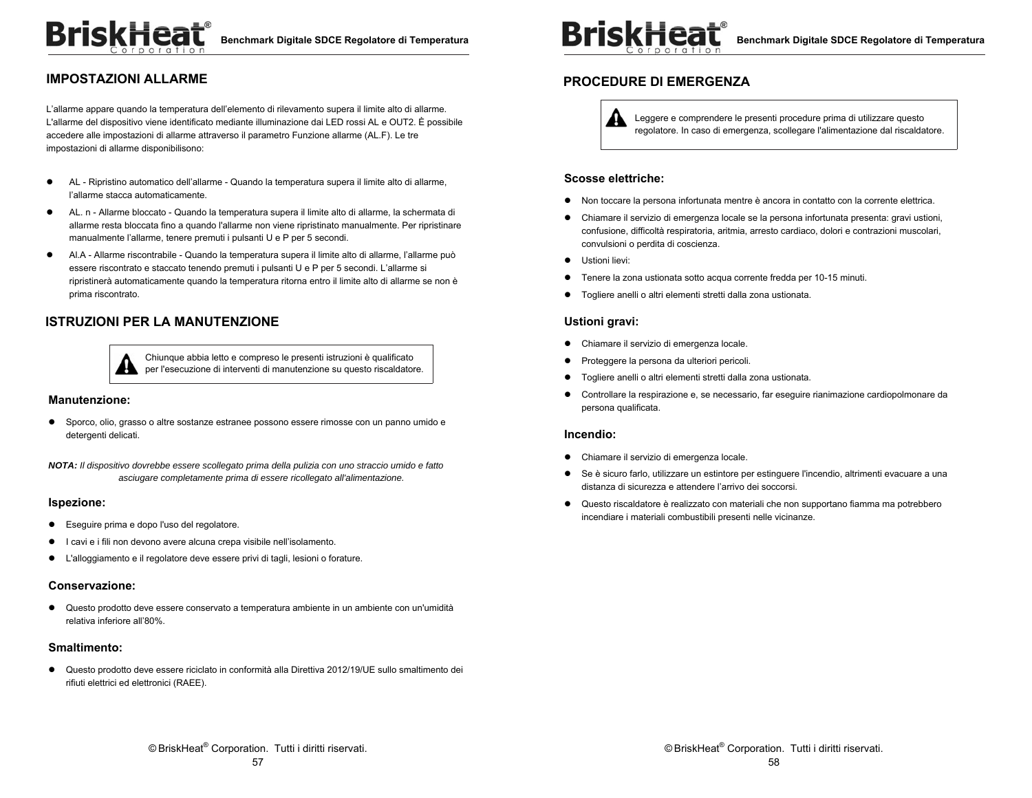## **IMPOSTAZIONI ALLARME**

L'allarme appare quando la temperatura dell'elemento di rilevamento supera il limite alto di allarme. L'allarme del dispositivo viene identificato mediante illuminazione dai LED rossi AL e OUT2. È possibile accedere alle impostazioni di allarme attraverso il parametro Funzione allarme (AL.F). Le tre impostazioni di allarme disponibilisono:

- AL Ripristino automatico dell'allarme Quando la temperatura supera il limite alto di allarme, l'allarme stacca automaticamente.
- AL. n Allarme bloccato Quando la temperatura supera il limite alto di allarme, la schermata di allarme resta bloccata fino a quando l'allarme non viene ripristinato manualmente. Per ripristinare manualmente l'allarme, tenere premuti i pulsanti U e P per 5 secondi.
- Al.A Allarme riscontrabile Quando la temperatura supera il limite alto di allarme, l'allarme può essere riscontrato e staccato tenendo premuti i pulsanti U e P per 5 secondi. L'allarme si ripristinerà automaticamente quando la temperatura ritorna entro il limite alto di allarme se non è prima riscontrato.

## **ISTRUZIONI PER LA MANUTENZIONE**



Chiunque abbia letto e compreso le presenti istruzioni è qualificato per l'esecuzione di interventi di manutenzione su questo riscaldatore.

#### **Manutenzione:**

 Sporco, olio, grasso o altre sostanze estranee possono essere rimosse con un panno umido e detergenti delicati.

*NOTA: Il dispositivo dovrebbe essere scollegato prima della pulizia con uno straccio umido e fatto asciugare completamente prima di essere ricollegato all'alimentazione.* 

#### **Ispezione:**

- Eseguire prima e dopo l'uso del regolatore.
- I cavi e i fili non devono avere alcuna crepa visibile nell'isolamento.
- L'alloggiamento e il regolatore deve essere privi di tagli, lesioni o forature.

#### **Conservazione:**

 Questo prodotto deve essere conservato a temperatura ambiente in un ambiente con un'umidità relativa inferiore all'80%.

#### **Smaltimento:**

 Questo prodotto deve essere riciclato in conformità alla Direttiva 2012/19/UE sullo smaltimento dei rifiuti elettrici ed elettronici (RAEE).



#### **PROCEDURE DI EMERGENZA**

Leggere e comprendere le presenti procedure prima di utilizzare questo regolatore. In caso di emergenza, scollegare l'alimentazione dal riscaldatore.

#### **Scosse elettriche:**

- Non toccare la persona infortunata mentre è ancora in contatto con la corrente elettrica.
- Chiamare il servizio di emergenza locale se la persona infortunata presenta: gravi ustioni, confusione, difficoltà respiratoria, aritmia, arresto cardiaco, dolori e contrazioni muscolari, convulsioni o perdita di coscienza.
- **•** Ustioni lievi:
- Tenere la zona ustionata sotto acqua corrente fredda per 10-15 minuti.
- Togliere anelli o altri elementi stretti dalla zona ustionata.

#### **Ustioni gravi:**

- Chiamare il servizio di emergenza locale.
- **•** Proteggere la persona da ulteriori pericoli.
- Togliere anelli o altri elementi stretti dalla zona ustionata.
- Controllare la respirazione e, se necessario, far eseguire rianimazione cardiopolmonare da persona qualificata.

#### **Incendio:**

- Chiamare il servizio di emergenza locale.
- Se è sicuro farlo, utilizzare un estintore per estinguere l'incendio, altrimenti evacuare a una distanza di sicurezza e attendere l'arrivo dei soccorsi.
- Questo riscaldatore è realizzato con materiali che non supportano fiamma ma potrebbero incendiare i materiali combustibili presenti nelle vicinanze.